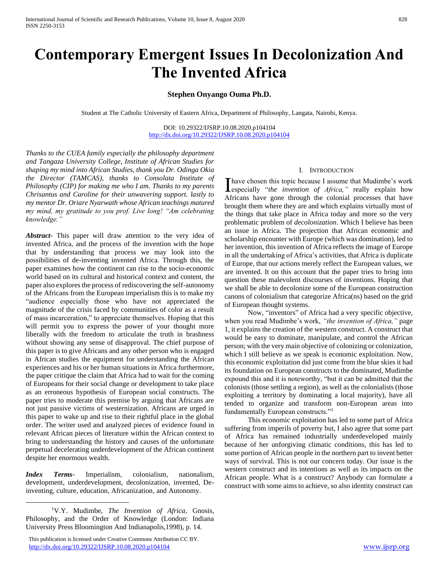# **Contemporary Emergent Issues In Decolonization And The Invented Africa**

# **Stephen Onyango Ouma Ph.D.**

Student at The Catholic University of Eastern Africa, Department of Philosophy, Langata, Nairobi, Kenya.

DOI: 10.29322/IJSRP.10.08.2020.p104104 <http://dx.doi.org/10.29322/IJSRP.10.08.2020.p104104>

*Thanks to the CUEA family especially the philosophy department and Tangaza University College, Institute of African Studies for shaping my mind into African Studies, thank you Dr. Odinga Okia the Director (TAMCAS), thanks to Consolata Institute of Philosophy (CIP) for making me who I am. Thanks to my parents Chrisantus and Caroline for their unwavering support. lastly to my mentor Dr. Oriare Nyarwath whose African teachings matured my mind, my gratitude to you prof. Live long! "Am celebrating knowledge."*

*Abstract***-** This paper will draw attention to the very idea of invented Africa, and the process of the invention with the hope that by understanding that process we may look into the possibilities of de-inventing invented Africa. Through this, the paper examines how the continent can rise to the socio-economic world based on its cultural and historical context and content, the paper also explores the process of rediscovering the self-autonomy of the Africans from the European imperialism this is to make my "audience especially those who have not appreciated the magnitude of the crisis faced by communities of color as a result of mass incarceration," to appreciate themselves. Hoping that this will permit you to express the power of your thought more liberally with the freedom to articulate the truth in brashness without showing any sense of disapproval. The chief purpose of this paper is to give Africans and any other person who is engaged in African studies the equipment for understanding the African experiences and his or her human situations in Africa furthermore, the paper critique the claim that Africa had to wait for the coming of Europeans for their social change or development to take place as an erroneous hypothesis of European social constructs. The paper tries to moderate this premise by arguing that Africans are not just passive victims of westernization. Africans are urged in this paper to wake up and rise to their rightful place in the global order. The writer used and analyzed pieces of evidence found in relevant African pieces of literature within the African context to bring to understanding the history and causes of the unfortunate perpetual decelerating underdevelopment of the African continent despite her enormous wealth.

*Index Terms*- Imperialism, colonialism, nationalism, development, underdevelopment, decolonization, invented, Deinventing, culture, education, Africanization, and Autonomy.

### I. INTRODUCTION

have chosen this topic because I assume that Mudimbe's work Thave chosen this topic because I assume that Mudimbe's work<br>
sepecially "*the invention of Africa*," really explain how Africans have gone through the colonial processes that have brought them where they are and which explains virtually most of the things that take place in Africa today and more so the very problematic problem of *decolonization*. Which I believe has been an issue in Africa. The projection that African economic and scholarship encounter with Europe (which was domination), led to her invention, this invention of Africa reflects the image of Europe in all the undertaking of Africa's activities, that Africa is duplicate of Europe, that our actions merely reflect the European values, we are invented. It on this account that the paper tries to bring into question these malevolent discourses of inventions. Hoping that we shall be able to decolonize some of the European construction canons of colonialism that categorize Africa(ns) based on the grid of European thought systems.

 Now, "inventors" of Africa had a very specific objective, when you read Mudimbe's work, *"the invention of Africa,"* page 1, it explains the creation of the western construct. A construct that would be easy to dominate, manipulate, and control the African person; with the very main objective of colonizing or colonization, which I still believe as we speak is economic exploitation. Now, this economic exploitation did just come from the blue skies it had its foundation on European constructs to the dominated, Mudimbe expound this and it is noteworthy, "but it can be admitted that the colonists (those settling a region), as well as the colonialists (those exploiting a territory by dominating a local majority), have all tended to organize and transform non-European areas into fundamentally European constructs."<sup>1</sup>

 This economic exploitation has led to some part of Africa suffering from imperils of poverty but, I also agree that some part of Africa has remained industrially underdeveloped mainly because of her unforgiving climatic conditions, this has led to some portion of African people in the northern part to invent better ways of survival. This is not our concern today. Our issue is the western construct and its intentions as well as its impacts on the African people. What is a construct? Anybody can formulate a construct with some aims to achieve, so also identity construct can

<sup>1</sup>V.Y. Mudimbe, *The Invention of Africa,* Gnosis, Philosophy, and the Order of Knowledge (London: Indiana University Press Bloomington And Indianapolis,1998), p. 14.

This publication is licensed under Creative Commons Attribution CC BY. <http://dx.doi.org/10.29322/IJSRP.10.08.2020.p104104> [www.ijsrp.org](http://ijsrp.org/)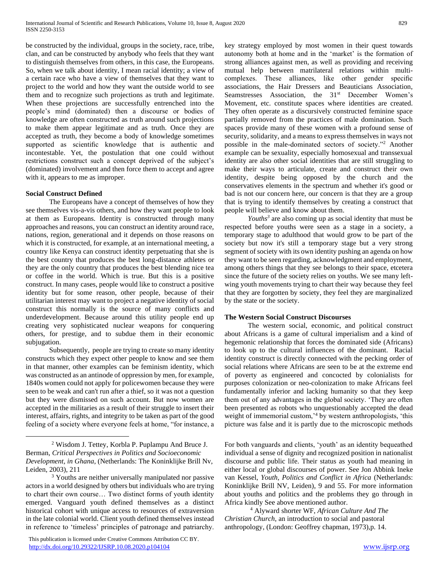be constructed by the individual, groups in the society, race, tribe, clan, and can be constructed by anybody who feels that they want to distinguish themselves from others, in this case, the Europeans. So, when we talk about identity, I mean racial identity; a view of a certain race who have a view of themselves that they want to project to the world and how they want the outside world to see them and to recognize such projections as truth and legitimate. When these projections are successfully entrenched into the people's mind (dominated) then a discourse or bodies of knowledge are often constructed as truth around such projections to make them appear legitimate and as truth. Once they are accepted as truth, they become a body of knowledge sometimes supported as scientific knowledge that is authentic and incontestable. Yet, the postulation that one could without restrictions construct such a concept deprived of the subject's (dominated) involvement and then force them to accept and agree with it, appears to me as improper.

## **Social Construct Defined**

 The Europeans have a concept of themselves of how they see themselves vis-a-vis others, and how they want people to look at them as Europeans. Identity is constructed through many approaches and reasons, you can construct an identity around race, nations, region, generational and it depends on those reasons on which it is constructed, for example, at an international meeting, a country like Kenya can construct identity perpetuating that she is the best country that produces the best long-distance athletes or they are the only country that produces the best blending nice tea or coffee in the world. Which is true. But this is a positive construct. In many cases, people would like to construct a positive identity but for some reason, other people, because of their utilitarian interest may want to project a negative identity of social construct this normally is the source of many conflicts and underdevelopment. Because around this utility people end up creating very sophisticated nuclear weapons for conquering others, for prestige, and to subdue them in their economic subjugation.

 Subsequently, people are trying to create so many identity constructs which they expect other people to know and see them in that manner, other examples can be feminism identity, which was constructed as an antinode of oppression by men, for example, 1840s women could not apply for policewomen because they were seen to be weak and can't run after a thief, so it was not a question but they were dismissed on such account. But now women are accepted in the militaries as a result of their struggle to insert their interest, affairs, rights, and integrity to be taken as part of the good feeling of a society where everyone feels at home, "for instance, a

<sup>2</sup> Wisdom J. Tettey, Korbla P. Puplampu And Bruce J. Berman, *Critical Perspectives in Politics and Socioeconomic Development, in Ghana*, (Netherlands: The Koninklijke Brill Nv, Leiden, 2003), 211

<sup>3</sup> Youths are neither universally manipulated nor passive actors in a world designed by others but individuals who are trying to chart their own course… Two distinct forms of youth identity emerged. Vanguard youth defined themselves as a distinct historical cohort with unique access to resources of extraversion in the late colonial world. Client youth defined themselves instead in reference to 'timeless' principles of patronage and patriarchy.

 This publication is licensed under Creative Commons Attribution CC BY. <http://dx.doi.org/10.29322/IJSRP.10.08.2020.p104104> [www.ijsrp.org](http://ijsrp.org/)

key strategy employed by most women in their quest towards autonomy both at home and in the 'market' is the formation of strong alliances against men, as well as providing and receiving mutual help between matrilateral relations within multicomplexes. These alliances, like other gender specific associations, the Hair Dressers and Beauticians Association, Seamstresses Association, the  $31<sup>st</sup>$  December Women's Movement, etc. constitute spaces where identities are created. They often operate as a discursively constructed feminine space partially removed from the practices of male domination. Such spaces provide many of these women with a profound sense of security, solidarity, and a means to express themselves in ways not possible in the male-dominated sectors of society."<sup>2</sup> Another example can be sexuality, especially homosexual and transsexual identity are also other social identities that are still struggling to make their ways to articulate, create and construct their own identity, despite being opposed by the church and the conservatives elements in the spectrum and whether it's good or bad is not our concern here, our concern is that they are a group that is trying to identify themselves by creating a construct that people will believe and know about them.

*Youths<sup>3</sup>* are also coming up as social identity that must be respected before youths were seen as a stage in a society, a temporary stage to adulthood that would grow to be part of the society but now it's still a temporary stage but a very strong segment of society with its own identity pushing an agenda on how they want to be seen regarding, acknowledgment and employment, among others things that they see belongs to their space, etcetera since the future of the society relies on youths. We see many leftwing youth movements trying to chart their way because they feel that they are forgotten by society, they feel they are marginalized by the state or the society.

#### **The Western Social Construct Discourses**

 The western social, economic, and political construct about Africans is a game of cultural imperialism and a kind of hegemonic relationship that forces the dominated side (Africans) to look up to the cultural influences of the dominant. Racial identity construct is directly connected with the pecking order of social relations where Africans are seen to be at the extreme end of poverty as engineered and concocted by colonialists for purposes colonization or neo-colonization to make Africans feel fundamentally inferior and lacking humanity so that they keep them out of any advantages in the global society. 'They are often been presented as robots who unquestionably accepted the dead weight of immemorial custom,<sup>14</sup> by western anthropologists, 'this picture was false and it is partly due to the microscopic methods

For both vanguards and clients, 'youth' as an identity bequeathed individual a sense of dignity and recognized position in nationalist discourse and public life. Their status as youth had meaning in either local or global discourses of power. See Jon Abbink Ineke van Kessel, *Youth, Politics and Conflict in Africa* (Netherlands: Koninklijke Brill NV, Leiden), 9 and 55. For more information about youths and politics and the problems they go through in Africa kindly See above mentioned author.

<sup>4</sup> Alyward shorter WF, *African Culture And The Christian Church*, an introduction to social and pastoral anthropology, (London: Geoffrey chapman, 1973),p. 14.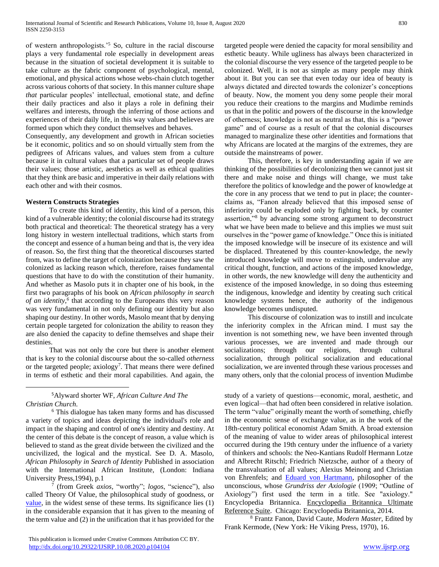of western anthropologists.'<sup>5</sup> So, culture in the racial discourse plays a very fundamental role especially in development areas because in the situation of societal development it is suitable to take culture as the fabric component of psychological, mental, emotional, and physical actions whose webs-chain clutch together across various cohorts of that society. In this manner culture shape *that* particular peoples' intellectual, emotional state, and define their daily practices and also it plays a role in defining their welfares and interests, through the inferring of those actions and experiences of their daily life, in this way values and believes are formed upon which they conduct themselves and behaves.

Consequently, any development and growth in African societies be it economic, politics and so on should virtually stem from the pedigrees of Africans values, and values stem from a culture because it in cultural values that a particular set of people draws their values; those artistic, aesthetics as well as ethical qualities that they think are basic and imperative in their daily relations with each other and with their cosmos.

#### **Western Constructs Strategies**

 To create this kind of identity, this kind of a person, this kind of a vulnerable identity; the colonial discourse had its strategy both practical and theoretical: The theoretical strategy has a very long history in western intellectual traditions, which starts from the concept and essence of a human being and that is, the very idea of reason. So, the first thing that the theoretical discourses started from, was to define the target of colonization because they saw the colonized as lacking reason which, therefore, raises fundamental questions that have to do with the constitution of their humanity. And whether as Masolo puts it in chapter one of his book, in the first two paragraphs of his book on *Africa*n *philosophy in search of an identity,<sup>6</sup>* that according to the Europeans this very reason was very fundamental in not only defining our identity but also shaping our destiny. In other words, Masolo meant that by denying certain people targeted for colonization the ability to reason they are also denied the capacity to define themselves and shape their destinies.

 That was not only the core but there is another element that is key to the colonial discourse about the so-called *otherness* or the targeted people; axiology<sup>7</sup>. That means there were defined in terms of esthetic and their moral capabilities. And again, the

<sup>5</sup>Alyward shorter WF, *African Culture And The Christian Church.*

<sup>6</sup> This dialogue has taken many forms and has discussed a variety of topics and ideas depicting the individual's role and impact in the shaping and control of one's identity and destiny. At the center of this debate is the concept of reason, a value which is believed to stand as the great divide between the civilized and the uncivilized, the logical and the mystical. See D. A. Masolo, *African Philosophy in Search of Identity* Published in association with the International African Institute, (London: Indiana University Press,1994), p.1

7 (from Greek *axios,* "worthy"; *logos*, "science"), also called Theory Of Value, the philosophical study of goodness, or [value,](ebcid:com.britannica.oec2.identifier.IndexEntryContentIdentifier?idxStructId=622453&library=EB) in the widest sense of these terms. Its significance lies (1) in the considerable expansion that it has given to the meaning of the term value and (2) in the unification that it has provided for the

targeted people were denied the capacity for moral sensibility and esthetic beauty. While ugliness has always been characterized in the colonial discourse the very essence of the targeted people to be colonized. Well, it is not as simple as many people may think about it. But you can see that even today our idea of beauty is always dictated and directed towards the colonizer's conceptions of beauty. Now, the moment you deny some people their moral you reduce their creations to the margins and Mudimbe reminds us that in the politic and powers of the discourse in the knowledge of otherness; knowledge is not as neutral as that, this is a "power game" and of course as a result of that the colonial discourses managed to marginalize these *other* identities and formations that why Africans are located at the margins of the extremes, they are outside the mainstreams of power.

 This, therefore, is key in understanding again if we are thinking of the possibilities of decolonizing then we cannot just sit there and make noise and things will change, we must take therefore the politics of knowledge and the power of knowledge at the core in any process that we tend to put in place; the counterclaims as, "Fanon already believed that this imposed sense of inferiority could be exploded only by fighting back, by counter assertion,"<sup>8</sup> by advancing some strong argument to deconstruct what we have been made to believe and this implies we must suit ourselves in the "power game of knowledge." Once this is initiated the imposed knowledge will be insecure of its existence and will be displaced. Threatened by this counter-knowledge, the newly introduced knowledge will move to extinguish, undervalue any critical thought, function, and actions of the imposed knowledge, in other words, the new knowledge will deny the authenticity and existence of the imposed knowledge, in so doing thus esteeming the indigenous, knowledge and identity by creating such critical knowledge systems hence, the authority of the indigenous knowledge becomes undisputed.

 This discourse of colonization was to instill and inculcate the inferiority complex in the African mind. I must say the invention is not something new, we have been invented through various processes, we are invented and made through our socializations; through our religions, through cultural socialization, through political socialization and educational socialization, we are invented through these various processes and many others, only that the colonial process of invention Mudimbe

study of a variety of questions—economic, moral, aesthetic, and even logical—that had often been considered in relative isolation. The term "value" originally meant the worth of something, chiefly in the economic sense of exchange value, as in the work of the 18th-century political economist Adam Smith. A broad extension of the meaning of value to wider areas of philosophical interest occurred during the 19th century under the influence of a variety of thinkers and schools: the Neo-Kantians Rudolf Hermann Lotze and Albrecht Ritschl; Friedrich Nietzsche, author of a theory of the transvaluation of all values; Alexius Meinong and Christian von Ehrenfels; and [Eduard von Hartmann,](ebcid:com.britannica.oec2.identifier.ArticleIdentifier?articleId=39401&library=EB&query=null&title=Eduard%20von%20Hartmann#9039401.toc) philosopher of the unconscious, whose *Grundriss der Axiologie* (1909; "Outline of Axiology") first used the term in a title. See "axiology." Encyclopedia Britannica. Encyclopedia Britannica Ultimate Reference Suite. Chicago: Encyclopedia Britannica, 2014.

<sup>8</sup> Frantz Fanon, David Caute, *Modern Master*, Edited by Frank Kermode, (New York: He Viking Press, 1970), 16.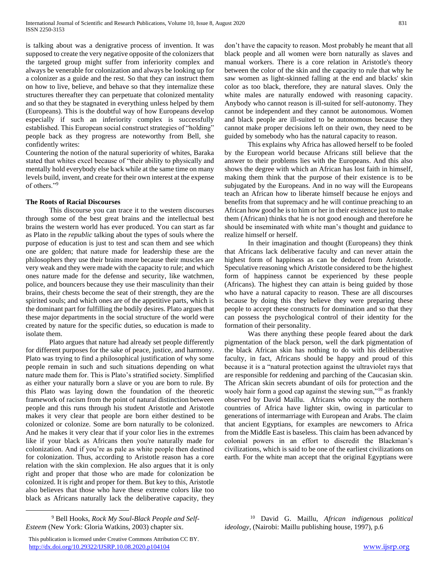is talking about was a denigrative process of invention. It was supposed to create the very negative opposite of the colonizers that the targeted group might suffer from inferiority complex and always be venerable for colonization and always be looking up for a colonizer as a guide and the rest. So that they can instruct them on how to live, believe, and behave so that they internalize these structures thereafter they can perpetuate that colonized mentality and so that they be stagnated in everything unless helped by them (Europeans). This is the doubtful way of how Europeans develop especially if such an inferiority complex is successfully established. This European social construct strategies of "holding" people back as they progress are noteworthy from Bell, she confidently writes:

Countering the notion of the natural superiority of whites, Baraka stated that whites excel because of "their ability to physically and mentally hold everybody else back while at the same time on many levels build, invent, and create for their own interest at the expense of others."<sup>9</sup>

#### **The Roots of Racial Discourses**

 This discourse you can trace it to the western discourses through some of the best great brains and the intellectual best brains the western world has ever produced. You can start as far as Plato in the *republic* talking about the types of souls where the purpose of education is just to test and scan them and see which one are golden; that nature made for leadership these are the philosophers they use their brains more because their muscles are very weak and they were made with the capacity to rule; and which ones nature made for the defense and security, like watchmen, police, and bouncers because they use their masculinity than their brains, their chests become the seat of their strength, they are the spirited souls; and which ones are of the appetitive parts, which is the dominant part for fulfilling the bodily desires. Plato argues that these major departments in the social structure of the world were created by nature for the specific duties, so education is made to isolate them.

 Plato argues that nature had already set people differently for different purposes for the sake of peace, justice, and harmony. Plato was trying to find a philosophical justification of why some people remain in such and such situations depending on what nature made them for. This is Plato's stratified society. Simplified as either your naturally born a slave or you are born to rule. By this Plato was laying down the foundation of the theoretic framework of racism from the point of natural distinction between people and this runs through his student Aristotle and Aristotle makes it very clear that people are born either destined to be colonized or colonize. Some are born naturally to be colonized. And he makes it very clear that if your color lies in the extremes like if your black as Africans then you're naturally made for colonization. And if you're as pale as white people then destined for colonization. Thus, according to Aristotle reason has a core relation with the skin complexion. He also argues that it is only right and proper that those who are made for colonization be colonized. It is right and proper for them. But key to this, Aristotle also believes that those who have these extreme colors like too black as Africans naturally lack the deliberative capacity, they don't have the capacity to reason. Most probably he meant that all black people and all women were born naturally as slaves and manual workers. There is a core relation in Aristotle's theory between the color of the skin and the capacity to rule that why he saw women as light-skinned falling at the end and blacks' skin color as too black, therefore, they are natural slaves. Only the white males are naturally endowed with reasoning capacity. Anybody who cannot reason is ill-suited for self-autonomy. They cannot be independent and they cannot be autonomous. Women and black people are ill-suited to be autonomous because they cannot make proper decisions left on their own, they need to be guided by somebody who has the natural capacity to reason.

 This explains why Africa has allowed herself to be fooled by the European world because Africans still believe that the answer to their problems lies with the Europeans. And this also shows the degree with which an African has lost faith in himself, making them think that the purpose of their existence is to be subjugated by the Europeans. And in no way will the Europeans teach an African how to liberate himself because he enjoys and benefits from that supremacy and he will continue preaching to an African how good he is to him or her in their existence just to make them (African) thinks that he is not good enough and therefore he should be inseminated with white man's thought and guidance to realize himself or herself.

 In their imagination and thought (Europeans) they think that Africans lack deliberative faculty and can never attain the highest form of happiness as can be deduced from Aristotle. Speculative reasoning which Aristotle considered to be the highest form of happiness cannot be experienced by these people (Africans). The highest they can attain is being guided by those who have a natural capacity to reason. These are all discourses because by doing this they believe they were preparing these people to accept these constructs for domination and so that they can possess the psychological control of their identity for the formation of their personality.

 Was there anything these people feared about the dark pigmentation of the black person, well the dark pigmentation of the black African skin has nothing to do with his deliberative faculty, in fact, Africans should be happy and proud of this because it is a "natural protection against the ultraviolet rays that are responsible for reddening and parching of the Caucasian skin. The African skin secrets abundant of oils for protection and the wooly hair form a good cap against the stewing sun,"<sup>10</sup> as frankly observed by David Maillu. Africans who occupy the northern countries of Africa have lighter skin, owing in particular to generations of intermarriage with European and Arabs. The claim that ancient Egyptians, for examples are newcomers to Africa from the Middle East is baseless. This claim has been advanced by colonial powers in an effort to discredit the Blackman's civilizations, which is said to be one of the earliest civilizations on earth. For the white man accept that the original Egyptians were

<sup>10</sup> David G. Maillu, *African indigenous political ideology*, (Nairobi: Maillu publishing house, 1997), p.6

<sup>9</sup> Bell Hooks, *Rock My Soul*-*Black People and Self-Esteem* (New York: Gloria Watkins, 2003) chapter six.

This publication is licensed under Creative Commons Attribution CC BY. <http://dx.doi.org/10.29322/IJSRP.10.08.2020.p104104> [www.ijsrp.org](http://ijsrp.org/)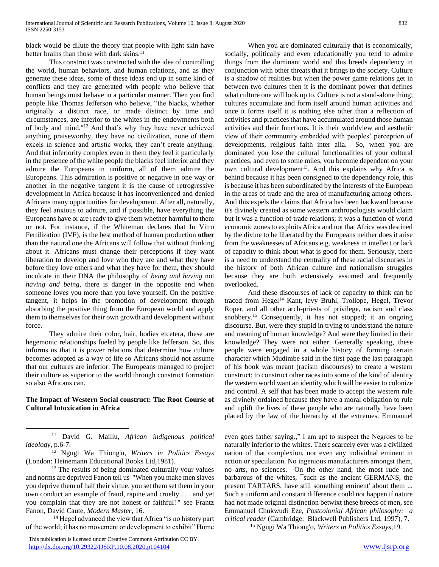black would be dilute the theory that people with light skin have better brains than those with dark skins.<sup>11</sup>

 This construct was constructed with the idea of controlling the world, human behaviors, and human relations, and as they generate these ideas, some of these ideas end up in some kind of conflicts and they are generated with people who believe that human beings must behave in a particular manner. Then you find people like Thomas Jefferson who believe, "the blacks, whether originally a distinct race, or made distinct by time and circumstances, are inferior to the whites in the endowments both of body and mind."<sup>12</sup> And that's why they have never achieved anything praiseworthy, they have no civilization, none of them excels in science and artistic works, they can't create anything. And that inferiority complex even in them they feel it particularly in the presence of the white people the blacks feel inferior and they admire the Europeans in uniform, all of them admire the Europeans. This admiration is positive or negative in one way or another in the negative tangent it is the cause of retrogressive development in Africa because it has inconvenienced and denied Africans many opportunities for development. After all, naturally, they feel anxious to admire, and if possible, have everything the Europeans have or are ready to give them whether harmful to them or not. For instance, if the Whiteman declares that In Vitro Fertilization (IVF), is the best method of human production **other** than the natural one the Africans will follow that without thinking about it. Africans must change their perceptions if they want liberation to develop and love who they are and what they have before they love others and what they have for them, they should inculcate in their DNA the philosophy of *being and having* not *having and being*, there is danger in the opposite end when someone loves you more than you love yourself. On the positive tangent, it helps in the promotion of development through absorbing the positive thing from the European world and apply them to themselves for their own growth and development without force.

 They admire their color, hair, bodies etcetera, these are hegemonic relationships fueled by people like Jefferson. So, this informs us that it is power relations that determine how culture becomes adopted as a way of life so Africans should not assume that our cultures are inferior. The Europeans managed to project their culture as superior to the world through construct formation so also Africans can.

# **The Impact of Western Social construct: The Root Course of Cultural Intoxication in Africa**

<sup>14</sup> Hegel advanced the view that Africa "is no history part of the world; it has no movement or development to exhibit" Hume

 This publication is licensed under Creative Commons Attribution CC BY. <http://dx.doi.org/10.29322/IJSRP.10.08.2020.p104104> [www.ijsrp.org](http://ijsrp.org/)

 When you are dominated culturally that is economically, socially, politically and even educationally you tend to admire things from the dominant world and this breeds dependency in conjunction with other threats that it brings to the society. Culture is a shadow of realities but when the power game relations get in between two cultures then it is the dominant power that defines what culture one will look up to. Culture is not a stand-alone thing; cultures accumulate and form itself around human activities and once it forms itself it is nothing else other than a reflection of activities and practices that have accumulated around those human activities and their functions. It is their worldview and aesthetic view of their community embedded with peoples' perception of developments, religious faith inter alia. So, when you are dominated you lose the cultural functionalities of your cultural practices, and even to some miles, you become dependent on your own cultural development<sup>13</sup>. And this explains why Africa is behind because it has been consigned to the dependency role, this is because it has been subordinated by the interests of the European in the areas of trade and the area of manufacturing among others. And this expels the claims that Africa has been backward because it's divinely created as some western anthropologists would claim but it was a function of trade relations; it was a function of world economic zones to exploits Africa and not that Africa was destined by the divine to be liberated by the Europeans neither does it arise from the weaknesses of Africans e.g. weakness in intellect or lack of capacity to think about what is good for them. Seriously, there is a need to understand the centrality of these racial discourses in the history of both African culture and nationalism struggles because they are both extensively assumed and frequently overlooked.

 And these discourses of lack of capacity to think can be traced from Hegel<sup>14</sup> Kant, levy Bruhl, Trollope, Hegel, Trevor Roper, and all other arch-priests of privilege, racism and class snobbery.<sup>15</sup> Consequently, it has not stopped; it an ongoing discourse. But, were they stupid in trying to understand the nature and meaning of human knowledge? And were they limited in their knowledge? They were not either. Generally speaking, these people were engaged in a whole history of forming certain character which Mudimbe said in the first page the last paragraph of his book was meant (racism discourses) to create a western construct; to construct other races into some of the kind of identity the western world want an identity which will be easier to colonize and control. A self that has been made to accept the western rule as divinely ordained because they have a moral obligation to rule and uplift the lives of these people who are naturally have been placed by the law of the hierarchy at the extremes. Emmanuel

even goes father saying.," I am apt to suspect the Negroes to be naturally inferior to the whites. There scarcely ever was a civilized nation of that complexion, nor even any individual eminent in action or speculation. No ingenious manufacturers amongst them, no arts, no sciences. On the other hand, the most rude and barbarous of the whites, ¯such as the ancient GERMANS, the present TARTARS, have still something eminent' about them ... Such a uniform and constant difference could not happen if nature had not made original distinction betwixt these breeds of men, see Emmanuel Chukwudi Eze, *Postcolonial African philosophy: a critical reader* (Cambridge: Blackwell Publishers Ltd, 1997), 7.

<sup>15</sup> Ngugi Wa Thiong'o, *Writers in Politics Essays*,19.

<sup>11</sup> David G. Maillu, *African indigenous political ideology*, p.6-7.

<sup>12</sup> Ngugi Wa Thiong'o, *Writers in Politics Essays* (London: Heinemann Educational Books Ltd,1981).

<sup>&</sup>lt;sup>13</sup> The results of being dominated culturally your values and norms are deprived Fanon tell us "When you make men slaves you deprive them of half their virtue, you set them set them in your own conduct an example of fraud, rapine and cruelty . . . and yet you complain that they are not honest or faithful!'" see Frantz Fanon, David Caute, *Modern Master*, 16.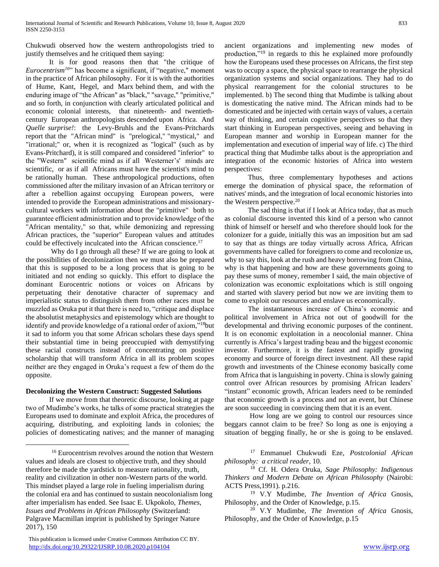Chukwudi observed how the western anthropologists tried to justify themselves and he critiqued them saying:

 It is for good reasons then that "the critique of *Eurocentrism<sup>16</sup>*" has become a significant, if "negative," moment in the practice of African philosophy. For it is with the authorities of Hume, Kant, Hegel, and Marx behind them, and with the enduring image of "the African" as "black," "savage," "primitive," and so forth, in conjunction with clearly articulated political and economic colonial interests, that nineteenth- and twentiethcentury European anthropologists descended upon Africa. And *Quelle surprise!*: the Levy-Bruhls and the Evans-Pritchards report that the "African mind" is "prelogical," "mystical," and "irrational;" or, when it is recognized as "logical" (such as by Evans-Pritchard), it is still compared and considered "inferior" to the "Western" scientific mind as if all Westerner's' minds are scientific, or as if all Africans must have the scientist's mind to be rationally human. These anthropological productions, often commissioned after the military invasion of an African territory or after a rebellion against occupying European powers, were intended to provide the European administrations and missionarycultural workers with information about the "primitive" both to guarantee efficient administration and to provide knowledge of the "African mentality," so that, while demonizing and repressing African practices, the "superior" European values and attitudes could be effectively inculcated into the African conscience.<sup>17</sup>

Why do I go through all these? If we are going to look at the possibilities of decolonization then we must also be prepared that this is supposed to be a long process that is going to be initiated and not ending so quickly. This effort to displace the dominant Eurocentric notions or voices on Africans by perpetuating their denotative character of supremacy and imperialistic status to distinguish them from other races must be muzzled as Oruka put it that there is need to, "critique and displace the absolutist metaphysics and epistemology which are thought to identify and provide knowledge of a rational order of axiom,"<sup>18</sup>but it sad to inform you that some African scholars these days spend their substantial time in being preoccupied with demystifying these racial constructs instead of concentrating on positive scholarship that will transform Africa in all its problem scopes neither are they engaged in Oruka's request a few of them do the opposite.

# **Decolonizing the Western Construct: Suggested Solutions**

 If we move from that theoretic discourse, looking at page two of Mudimbe's works, he talks of some practical strategies the Europeans used to dominate and exploit Africa, the procedures of acquiring, distributing, and exploiting lands in colonies; the policies of domesticating natives; and the manner of managing ancient organizations and implementing new modes of production,"<sup>19</sup> in regards to this he explained more profoundly how the Europeans used these processes on Africans, the first step was to occupy a space, the physical space to rearrange the physical organization systems and social organizations. They had to do physical rearrangement for the colonial structures to be implemented. b) The second thing that Mudimbe is talking about is domesticating the native mind. The African minds had to be domesticated and be injected with certain ways of values, a certain way of thinking, and certain cognitive perspectives so that they start thinking in European perspectives, seeing and behaving in European manner and worship in European manner for the implementation and execution of imperial way of life. c) The third practical thing that Mudimbe talks about is the appropriation and integration of the economic histories of Africa into western perspectives:

 Thus, three complementary hypotheses and actions emerge the domination of physical space, the reformation of natives' minds, and the integration of local economic histories into the Western perspective.<sup>20</sup>

 The sad thing is that if I look at Africa today, that as much as colonial discourse invented this kind of a person who cannot think of himself or herself and who therefore should look for the colonizer for a guide, initially this was an imposition but am sad to say that as things are today virtually across Africa, African governments have called for foreigners to come and recolonize us, why to say this, look at the rush and heavy borrowing from China, why is that happening and how are these governments going to pay these sums of money, remember I said, the main objective of colonization was economic exploitations which is still ongoing and started with slavery period but now we are inviting them to come to exploit our resources and enslave us economically.

 The instantaneous increase of China's economic and political involvement in Africa not out of goodwill for the developmental and thriving economic purposes of the continent. It is on economic exploitation in a neocolonial manner. China currently is Africa's largest trading beau and the biggest economic investor. Furthermore, it is the fastest and rapidly growing economy and source of foreign direct investment. All these rapid growth and investments of the Chinese economy basically come from Africa that is languishing in poverty. China is slowly gaining control over African resources by promising African leaders' "instant" economic growth, African leaders need to be reminded that economic growth is a process and not an event, but Chinese are soon succeeding in convincing them that it is an event.

 How long are we going to control our resources since beggars cannot claim to be free? So long as one is enjoying a situation of begging finally, he or she is going to be enslaved.

<sup>17</sup> Emmanuel Chukwudi Eze, *Postcolonial African philosophy: a critical reader*, 10.

<sup>19</sup> V.Y Mudimbe, *The Invention of Africa* Gnosis, Philosophy, and the Order of Knowledge, p.15.

<sup>16</sup> Eurocentrism revolves around the notion that Western values and ideals are closest to objective truth, and they should therefore be made the yardstick to measure rationality, truth, reality and civilization in other non-Western parts of the world. This mindset played a large role in fueling imperialism during the colonial era and has continued to sustain neocolonialism long after imperialism has ended. See Isaac E. Ukpokolo, *Themes*, *Issues and Problems in African Philosophy* (Switzerland: Palgrave Macmillan imprint is published by Springer Nature 2017), 150

This publication is licensed under Creative Commons Attribution CC BY. <http://dx.doi.org/10.29322/IJSRP.10.08.2020.p104104> [www.ijsrp.org](http://ijsrp.org/)

<sup>18</sup> Cf. H. Odera Oruka, *Sage Philosophy: Indigenous Thinkers and Modern Debate on African Philosophy* (Nairobi: ACTS Press,1991). p.216.

<sup>20</sup> V.Y Mudimbe, *The Invention of Africa* Gnosis, Philosophy, and the Order of Knowledge, p.15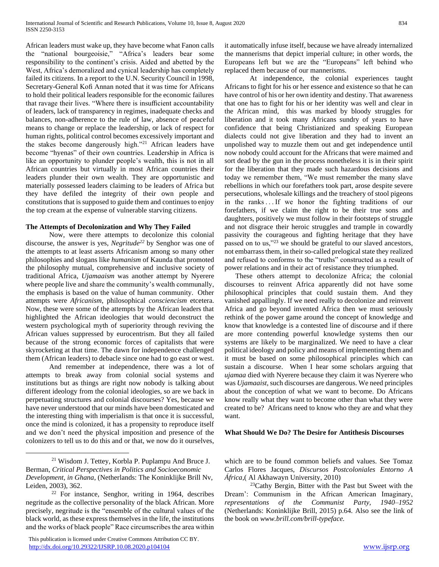African leaders must wake up, they have become what Fanon calls the "national bourgeoisie," "Africa's leaders bear some responsibility to the continent's crisis. Aided and abetted by the West, Africa's demoralized and cynical leadership has completely failed its citizens. In a report to the U.N. Security Council in 1998, Secretary-General Kofi Annan noted that it was time for Africans to hold their political leaders responsible for the economic failures that ravage their lives. "Where there is insufficient accountability of leaders, lack of transparency in regimes, inadequate checks and balances, non-adherence to the rule of law, absence of peaceful means to change or replace the leadership, or lack of respect for human rights, political control becomes excessively important and the stakes become dangerously high."<sup>21</sup> African leaders have become "hyenas" of their own countries. Leadership in Africa is like an opportunity to plunder people's wealth, this is not in all African countries but virtually in most African countries their leaders plunder their own wealth. They are opportunistic and materially possessed leaders claiming to be leaders of Africa but they have defiled the integrity of their own people and constitutions that is supposed to guide them and continues to enjoy the top cream at the expense of vulnerable starving citizens.

#### **The Attempts of Decolonization and Why They Failed**

 Now, were there attempts to decolonize this colonial discourse, the answer is yes, *Negritude<sup>22</sup>* by Senghor was one of the attempts to at least asserts Africanism among so many other philosophies and slogans like *humanism* of Kaunda that promoted the philosophy mutual, comprehensive and inclusive society of traditional Africa, *Ujamaaism* was another attempt by Nyerere where people live and share the community's wealth communally, the emphasis is based on the value of human community. Other attempts were *Africanism*, philosophical *consciencism* etcetera. Now, these were some of the attempts by the African leaders that highlighted the African ideologies that would deconstruct the western psychological myth of superiority through reviving the African values suppressed by eurocentrism. But they all failed because of the strong economic forces of capitalists that were skyrocketing at that time. The dawn for independence challenged them (African leaders) to debacle since one had to go east or west.

 And remember at independence, there was a lot of attempts to break away from colonial social systems and institutions but as things are right now nobody is talking about different ideology from the colonial ideologies, so are we back in perpetuating structures and colonial discourses? Yes, because we have never understood that our minds have been domesticated and the interesting thing with imperialism is that once it is successful, once the mind is colonized, it has a propensity to reproduce itself and we don't need the physical imposition and presence of the colonizers to tell us to do this and or that, we now do it ourselves,

<sup>21</sup> Wisdom J. Tettey, Korbla P. Puplampu And Bruce J. Berman, *Critical Perspectives in Politics and Socioeconomic Development, in Ghana*, (Netherlands: The Koninklijke Brill Nv, Leiden, 2003), 362.

 This publication is licensed under Creative Commons Attribution CC BY. <http://dx.doi.org/10.29322/IJSRP.10.08.2020.p104104> [www.ijsrp.org](http://ijsrp.org/)

it automatically infuse itself, because we have already internalized the mannerisms that depict imperial culture; in other words, the Europeans left but we are the "Europeans" left behind who replaced them because of our mannerisms.

 At independence, the colonial experiences taught Africans to fight for his or her essence and existence so that he can have control of his or her own identity and destiny. That awareness that one has to fight for his or her identity was well and clear in the African mind, this was marked by bloody struggles for liberation and it took many Africans sundry of years to have confidence that being Christianized and speaking European dialects could not give liberation and they had to invent an unpolished way to muzzle them out and get independence until now nobody could account for the Africans that were maimed and sort dead by the gun in the process nonetheless it is in their spirit for the liberation that they made such hazardous decisions and today we remember them, "We must remember the many slave rebellions in which our forefathers took part, arose despite severe persecutions, wholesale killings and the treachery of stool pigeons in the ranks . . . If we honor the fighting traditions of our forefathers, if we claim the right to be their true sons and daughters, positively we must follow in their footsteps of struggle and not disgrace their heroic struggles and trample in cowardly passivity the courageous and fighting heritage that they have passed on to us,"<sup>23</sup> we should be grateful to our slaved ancestors, not embarrassthem, in their so-called prelogical state they realized and refused to conforms to the "truths" constructed as a result of power relations and in their act of resistance they triumphed.

 These others attempt to decolonize Africa; the colonial discourses to reinvent Africa apparently did not have some philosophical principles that could sustain them. And they vanished appallingly. If we need really to decolonize and reinvent Africa and go beyond invented Africa then we must seriously rethink of the power game around the concept of knowledge and know that knowledge is a contested line of discourse and if there are more contending powerful knowledge systems then our systems are likely to be marginalized. We need to have a clear political ideology and policy and means of implementing them and it must be based on some philosophical principles which can sustain a discourse. When I hear some scholars arguing that *ujamaa* died with Nyerere because they claim it was Nyerere who was *Ujamaaist*, such discourses are dangerous. We need principles about the conception of what we want to become. Do Africans know really what they want to become other than what they were created to be? Africans need to know who they are and what they want.

#### **What Should We Do? The Desire for Antithesis Discourses**

which are to be found common beliefs and values. See Tomaz Carlos Flores Jacques, *Discursos Postcoloniales Entorno A África*,( Al Akhawayn University, 2010)

 $23$ Cathy Bergin, Bitter with the Past but Sweet with the Dream': Communism in the African American Imaginary, *representations of the Communist Party, 1940–1952* (Netherlands: Koninklijke Brill, 2015) p.64. Also see the link of the book on *www.brill.com/brill-typeface.*

<sup>22</sup> For instance, Senghor, writing in 1964, describes negritude as the collective personality of the black African. More precisely, negritude is the "ensemble of the cultural values of the black world, as these express themselves in the life, the institutions and the works of black people" Race circumscribes the area within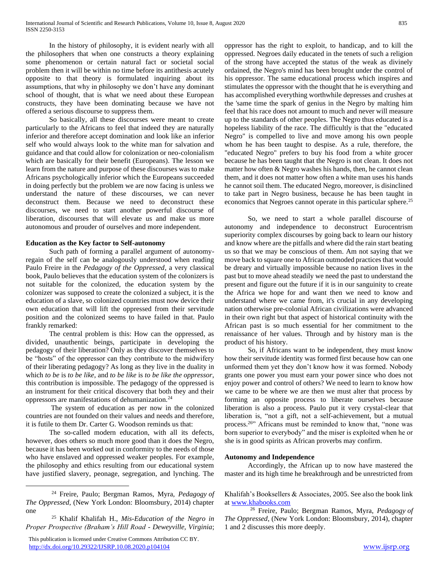In the history of philosophy, it is evident nearly with all the philosophers that when one constructs a theory explaining some phenomenon or certain natural fact or societal social problem then it will be within no time before its antithesis acutely opposite to that theory is formulated inquiring about its assumptions, that why in philosophy we don't have any dominant school of thought, that is what we need about these European constructs, they have been dominating because we have not offered a serious discourse to suppress them.

 So basically, all these discourses were meant to create particularly to the Africans to feel that indeed they are naturally inferior and therefore accept domination and look like an inferior self who would always look to the white man for salvation and guidance and that could allow for colonization or neo-colonialism which are basically for their benefit (Europeans). The lesson we learn from the nature and purpose of these discourses was to make Africans psychologically inferior which the Europeans succeeded in doing perfectly but the problem we are now facing is unless we understand the nature of these discourses, we can never deconstruct them. Because we need to deconstruct these discourses, we need to start another powerful discourse of liberation, discourses that will elevate us and make us more autonomous and prouder of ourselves and more independent.

#### **Education as the Key factor to Self-autonomy**

 Such path of forming a parallel argument of autonomyregain of the self can be analogously understood when reading Paulo Freire in the *Pedagogy of the Oppressed*, a very classical book, Paulo believes that the education system of the colonizers is not suitable for the colonized, the education system by the colonizer was supposed to create the colonized a subject, it is the education of a slave, so colonized countries must now device their own education that will lift the oppressed from their servitude position and the colonized seems to have failed in that. Paulo frankly remarked:

 The central problem is this: How can the oppressed, as divided, unauthentic beings, participate in developing the pedagogy of their liberation? Only as they discover themselves to be "hosts" of the oppressor can they contribute to the midwifery of their liberating pedagogy? As long as they live in the duality in which *to be* is *to be like*, and *to be like* is *to be like the oppressor*, this contribution is impossible. The pedagogy of the oppressed is an instrument for their critical discovery that both they and their oppressors are manifestations of dehumanization.<sup>24</sup>

 The system of education as per now in the colonized countries are not founded on their values and needs and therefore, it is futile to them Dr. Carter G. Woodson reminds us that:

 The so-called modern education, with all its defects, however, does others so much more good than it does the Negro, because it has been worked out in conformity to the needs of those who have enslaved and oppressed weaker peoples. For example, the philosophy and ethics resulting from our educational system have justified slavery, peonage, segregation, and lynching. The

 This publication is licensed under Creative Commons Attribution CC BY. <http://dx.doi.org/10.29322/IJSRP.10.08.2020.p104104> [www.ijsrp.org](http://ijsrp.org/)

oppressor has the right to exploit, to handicap, and to kill the oppressed. Negroes daily educated in the tenets of such a religion of the strong have accepted the status of the weak as divinely ordained, the Negro's mind has been brought under the control of his oppressor. The same educational process which inspires and stimulates the oppressor with the thought that he is everything and has accomplished everything worthwhile depresses and crushes at the 'same time the spark of genius in the Negro by malting him feel that his race does not amount to much and never will measure up to the standards of other peoples. The Negro thus educated is a hopeless liability of the race. The difficultly is that the "educated Negro" is compelled to live and move among his own people whom he has been taught to despise. As a rule, therefore, the "educated Negro" prefers to buy his food from a white grocer because he has been taught that the Negro is not clean. It does not matter how often & Negro washes his hands, then, he cannot clean them, and it does not matter how often a white man uses his hands he cannot soil them. The educated Negro, moreover, is disinclined to take part in Negro business, because he has been taught in economics that Negroes cannot operate in this particular sphere.<sup>25</sup>

 So, we need to start a whole parallel discourse of autonomy and independence to deconstruct Eurocentrism superiority complex discourses by going back to learn our history and know where are the pitfalls and where did the rain start beating us so that we may be conscious of them. Am not saying that we move back to square one to African outmoded practices that would be dreary and virtually impossible because no nation lives in the past but to move ahead steadily we need the past to understand the present and figure out the future if it is in our sanguinity to create the Africa we hope for and want then we need to know and understand where we came from, it's crucial in any developing nation otherwise pre-colonial African civilizations were advanced in their own right but that aspect of historical continuity with the African past is so much essential for her commitment to the renaissance of her values. Through and by history man is the product of his history.

 So, if Africans want to be independent, they must know how their servitude identity was formed first because how can one unformed them yet they don't know how it was formed. Nobody grants one power you must earn your power since who does not enjoy power and control of others? We need to learn to know how we came to be where we are then we must alter that process by forming an opposite process to liberate ourselves because liberation is also a process. Paulo put it very crystal-clear that liberation is, "not a gift, not a self-achievement, but a mutual process.<sup>26</sup>" Africans must be reminded to know that, "none was born superior to everybody" and the miser is exploited when he or she is in good spirits as African proverbs may confirm.

#### **Autonomy and Independence**

 Accordingly, the African up to now have mastered the master and its high time he breakthrough and be unrestricted from

<sup>24</sup> Freire, Paulo; Bergman Ramos, Myra, *Pedagogy of The Oppressed*, (New York London: Bloomsbury, 2014) chapter one

<sup>25</sup> Khalif Khalifah H., *Mis-Education of the Negro in Proper Prospective (Braham's Hill Road - Deweyville, Virginia*;

Khalifah's Booksellers & Associates*,* 2005. See also the book link at [www.khabooks.com](http://www.khabooks.com/)

<sup>26</sup> Freire, Paulo; Bergman Ramos, Myra, *Pedagogy of The Oppressed*, (New York London: Bloomsbury, 2014), chapter 1 and 2 discusses this more deeply.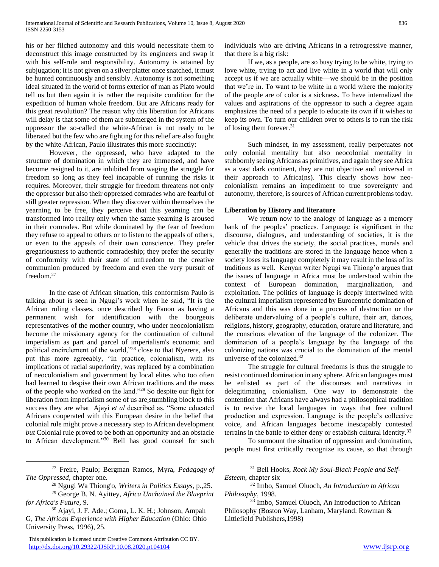his or her filched autonomy and this would necessitate them to deconstruct this image constructed by its engineers and swap it with his self-rule and responsibility. Autonomy is attained by subjugation; it is not given on a silver platter once snatched, it must be hunted continuously and sensibly. Autonomy is not something ideal situated in the world of forms exterior of man as Plato would tell us but then again it is rather the requisite condition for the expedition of human whole freedom. But are Africans ready for this great revolution? The reason why this liberation for Africans will delay is that some of them are submerged in the system of the oppressor the so-called the white-African is not ready to be liberated but the few who are fighting for this relief are also fought by the white-African, Paulo illustrates this more succinctly:

 However, the oppressed, who have adapted to the structure of domination in which they are immersed, and have become resigned to it, are inhibited from waging the struggle for freedom so long as they feel incapable of running the risks it requires. Moreover, their struggle for freedom threatens not only the oppressor but also their oppressed comrades who are fearful of still greater repression. When they discover within themselves the yearning to be free, they perceive that this yearning can be transformed into reality only when the same yearning is aroused in their comrades. But while dominated by the fear of freedom they refuse to appeal to others or to listen to the appeals of others, or even to the appeals of their own conscience. They prefer gregariousness to authentic comradeship; they prefer the security of conformity with their state of unfreedom to the creative communion produced by freedom and even the very pursuit of freedom.<sup>27</sup>

 In the case of African situation, this conformism Paulo is talking about is seen in Ngugi's work when he said, "It is the African ruling classes, once described by Fanon as having a permanent wish for identification with the bourgeois representatives of the mother country, who under neocolonialism become the missionary agency for the continuation of cultural imperialism as part and parcel of imperialism's economic and political encirclement of the world,"<sup>28</sup> close to that Nyerere, also put this more agreeably, "In practice, colonialism, with its implications of racial superiority, was replaced by a combination of neocolonialism and government by local elites who too often had learned to despise their own African traditions and the mass of the people who worked on the land."<sup>29</sup> So despite our fight for liberation from imperialism some of us are stumbling block to this success they are what Ajayi *et al* described as, "Some educated Africans cooperated with this European desire in the belief that colonial rule might prove a necessary step to African development *but* Colonial rule proved to be both an opportunity and an obstacle to African development."<sup>30</sup> Bell has good counsel for such

 This publication is licensed under Creative Commons Attribution CC BY. <http://dx.doi.org/10.29322/IJSRP.10.08.2020.p104104> [www.ijsrp.org](http://ijsrp.org/)

individuals who are driving Africans in a retrogressive manner, that there is a big risk:

 If we, as a people, are so busy trying to be white, trying to love white, trying to act and live white in a world that will only accept us if we are actually white—we should be in the position that we're in. To want to be white in a world where the majority of the people are of color is a sickness. To have internalized the values and aspirations of the oppressor to such a degree again emphasizes the need of a people to educate its own if it wishes to keep its own. To turn our children over to others is to run the risk of losing them forever.<sup>31</sup>

 Such mindset, in my assessment, really perpetuates not only colonial mentality but also neocolonial mentality in stubbornly seeing Africans as primitives, and again they see Africa as a vast dark continent, they are not objective and universal in their approach to Africa(ns). This clearly shows how neocolonialism remains an impediment to true sovereignty and autonomy, therefore, is sources of African current problems today.

#### **Liberation by History and literature**

 We return now to the analogy of language as a memory bank of the peoples' practices. Language is significant in the discourse, dialogues, and understanding of societies, it is the vehicle that drives the society, the social practices, morals and generally the traditions are stored in the language hence when a society loses its language completely it may result in the loss of its traditions as well. Kenyan writer Ngugi wa Thiong'o argues that the issues of language in Africa must be understood within the context of European domination, marginalization, and exploitation. The politics of language is deeply intertwined with the cultural imperialism represented by Eurocentric domination of Africans and this was done in a process of destruction or the deliberate undervaluing of a people's culture, their art, dances, religions, history, geography, education, orature and literature, and the conscious elevation of the language of the colonizer. The domination of a people's language by the language of the colonizing nations was crucial to the domination of the mental universe of the colonized.<sup>32</sup>

 The struggle for cultural freedoms is thus the struggle to resist continued domination in any sphere. African languages must be enlisted as part of the discourses and narratives in delegitimating colonialism. One way to demonstrate the contention that Africans have always had a philosophical tradition is to revive the local languages in ways that free cultural production and expression. Language is the people's collective voice, and African languages become inescapably contested terrains in the battle to either deny or establish cultural identity.<sup>33</sup>

 To surmount the situation of oppression and domination, people must first critically recognize its cause, so that through

<sup>32</sup> Imbo, Samuel Oluoch, *An Introduction to African Philosophy*, 1998.

<sup>27</sup> Freire, Paulo; Bergman Ramos, Myra, *Pedagogy of The Oppressed,* chapter one.

<sup>28</sup> Ngugi Wa Thiong'o, *Writers in Politics Essays,* p.,25.

<sup>29</sup> George B. N. Ayittey, *Africa Unchained the Blueprint for Africa's Future,* 9.

<sup>30</sup> Ajayi, J. F. Ade.; Goma, L. K. H.; Johnson, Ampah G, *The African Experience with Higher Education* (Ohio: Ohio University Press, 1996), 25.

<sup>31</sup> Bell Hooks, *Rock My Soul*-*Black People and Self-*

*Esteem*, chapter six

<sup>&</sup>lt;sup>33</sup> Imbo, Samuel Oluoch, An Introduction to African Philosophy (Boston Way, Lanham, Maryland: Rowman & Littlefield Publishers,1998)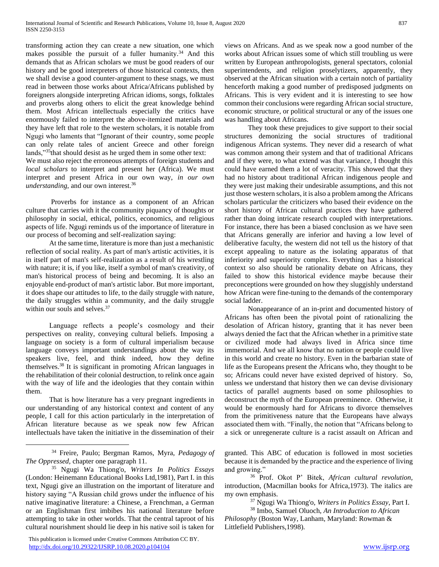transforming action they can create a new situation, one which makes possible the pursuit of a fuller humanity.<sup>34</sup> And this demands that as African scholars we must be good readers of our history and be good interpreters of those historical contexts, then we shall devise a good counter-argument to these snags, we must read in between those works about Africa/Africans published by foreigners alongside interpreting African idioms, songs, folktales and proverbs along others to elicit the great knowledge behind them. Most African intellectuals especially the critics have enormously failed to interpret the above-itemized materials and they have left that role to the western scholars, it is notable from Ngugi who laments that "Ignorant of their country, some people can only relate tales of ancient Greece and other foreign lands,"<sup>35</sup>that should desist as he urged them in some other text:

We must also reject the erroneous attempts of foreign students and *local scholars* to interpret and present her (Africa). We must interpret and present Africa in our own way, *in our own understanding,* and our own interest.<sup>36</sup>

 Proverbs for instance as a component of an African culture that carries with it the community piquancy of thoughts or philosophy in social, ethical, politics, economics, and religious aspects of life. Ngugi reminds us of the importance of literature in our process of becoming and self-realization saying:

 At the same time, literature is more than just a mechanistic reflection of social reality. As part of man's artistic activities, it is in itself part of man's self-realization as a result of his wrestling with nature; it is, if you like, itself a symbol of man's creativity, of man's historical process of being and becoming. It is also an enjoyable end-product of man's artistic labor. But more important, it does shape our attitudes to life, to the daily struggle with nature, the daily struggles within a community, and the daily struggle within our souls and selves.<sup>37</sup>

 Language reflects a people's cosmology and their perspectives on reality, conveying cultural beliefs. Imposing a language on society is a form of cultural imperialism because language conveys important understandings about the way its speakers live, feel, and think indeed, how they define themselves.<sup>38</sup> It is significant in promoting African languages in the rehabilitation of their colonial destruction, to relink once again with the way of life and the ideologies that they contain within them.

 That is how literature has a very pregnant ingredients in our understanding of any historical context and content of any people, I call for this action particularly in the interpretation of African literature because as we speak now few African intellectuals have taken the initiative in the dissemination of their

 This publication is licensed under Creative Commons Attribution CC BY. <http://dx.doi.org/10.29322/IJSRP.10.08.2020.p104104> [www.ijsrp.org](http://ijsrp.org/)

views on Africans. And as we speak now a good number of the works about African issues some of which still troubling us were written by European anthropologists, general spectators, colonial superintendents, and religion proselytizers, apparently, they observed at the African situation with a certain notch of partiality henceforth making a good number of predisposed judgments on Africans. This is very evident and it is interesting to see how common their conclusions were regarding African social structure, economic structure, or political structural or any of the issues one was handling about Africans.

 They took these prejudices to give support to their social structures demonizing the social structures of traditional indigenous African systems. They never did a research of what was common among their system and that of traditional Africans and if they were, to what extend was that variance, I thought this could have earned them a lot of veracity. This showed that they had no history about traditional African indigenous people and they were just making their undesirable assumptions, and this not just those western scholars, it is also a problem among the Africans scholars particular the criticizers who based their evidence on the short history of African cultural practices they have gathered rather than doing intricate research coupled with interpretations. For instance, there has been a biased conclusion as we have seen that Africans generally are inferior and having a low level of deliberative faculty, the western did not tell us the history of that except appealing to nature as the isolating apparatus of that inferiority and superiority complex. Everything has a historical context so also should be rationality debate on Africans, they failed to show this historical evidence maybe because their preconceptions were grounded on how they sluggishly understand how African were fine-tuning to the demands of the contemporary social ladder.

 Nonappearance of an in-print and documented history of Africans has often been the pivotal point of rationalizing the desolation of African history, granting that it has never been always denied the fact that the African whether in a primitive state or civilized mode had always lived in Africa since time immemorial. And we all know that no nation or people could live in this world and create no history. Even in the barbarian state of life as the Europeans present the Africans who, they thought to be so; Africans could never have existed deprived of history. So, unless we understand that history then we can devise divisionary tactics of parallel augments based on some philosophies to deconstruct the myth of the European preeminence. Otherwise, it would be enormously hard for Africans to divorce themselves from the primitiveness nature that the Europeans have always associated them with. "Finally, the notion that "Africans belong to a sick or unregenerate culture is a racist assault on African and

granted. This ABC of education is followed in most societies because it is demanded by the practice and the experience of living and growing."

<sup>36</sup> Prof. Okot P' Bitek, *African cultural revolution,*  introduction, (Macmillan books for Africa,1973). The italics are my own emphasis.

<sup>37</sup> Ngugi Wa Thiong'o, *Writers in Politics Essay*, Part I.

<sup>38</sup> Imbo, Samuel Oluoch, *An Introduction to African* 

*Philosophy* (Boston Way, Lanham, Maryland: Rowman & Littlefield Publishers,1998).

<sup>34</sup> Freire, Paulo; Bergman Ramos, Myra, *Pedagogy of The Oppressed,* chapter one paragraph 11.

<sup>35</sup> Ngugi Wa Thiong'o, *Writers In Politics Essays* (London: Heinemann Educational Books Ltd,1981), Part I. in this text, Ngugi give an illustration on the important of literature and history saying "A Russian child grows under the influence of his native imaginative literature: a Chinese, a Frenchman, a German or an Englishman first imbibes his national literature before attempting to take in other worlds. That the central taproot of his cultural nourishment should lie deep in his native soil is taken for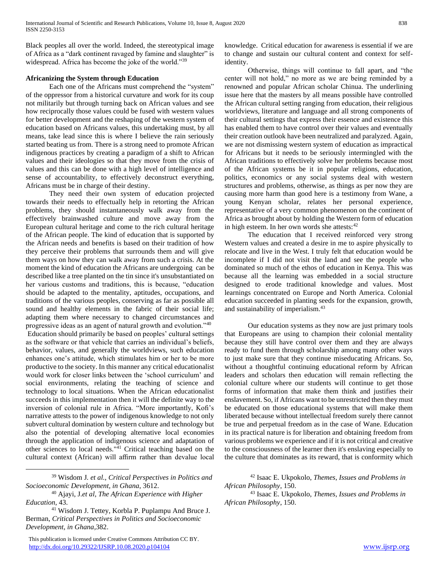Black peoples all over the world. Indeed, the stereotypical image of Africa as a "dark continent ravaged by famine and slaughter" is widespread. Africa has become the joke of the world."<sup>39</sup>

#### **Africanizing the System through Education**

 Each one of the Africans must comprehend the "system" of the oppressor from a historical curvature and work for its coup not militarily but through turning back on African values and see how reciprocally those values could be fused with western values for better development and the reshaping of the western system of education based on Africans values, this undertaking must, by all means, take lead since this is where I believe the rain seriously started beating us from. There is a strong need to promote African indigenous practices by creating a paradigm of a shift to African values and their ideologies so that they move from the crisis of values and this can be done with a high level of intelligence and sense of accountability, to effectively deconstruct everything, Africans must be in charge of their destiny.

 They need their own system of education projected towards their needs to effectually help in retorting the African problems, they should instantaneously walk away from the effectively brainwashed culture and move away from the European cultural heritage and come to the rich cultural heritage of the African people. The kind of education that is supported by the African needs and benefits is based on their tradition of how they perceive their problems that surrounds them and will give them ways on how they can walk away from such a crisis. At the moment the kind of education the Africans are undergoing can be described like a tree planted on the tin since it's unsubstantiated on her various customs and traditions, this is because, "education should be adapted to the mentality, aptitudes, occupations, and traditions of the various peoples, conserving as far as possible all sound and healthy elements in the fabric of their social life; adapting them where necessary to changed circumstances and progressive ideas as an agent of natural growth and evolution."<sup>40</sup> Education should primarily be based on peoples' cultural settings as the software or that vehicle that carries an individual's beliefs, behavior, values, and generally the worldviews, such education enhances one's attitude, which stimulates him or her to be more productive to the society. In this manner any critical educationalist would work for closer links between the 'school curriculum' and social environments, relating the teaching of science and technology to local situations. When the African educationalist succeeds in this implementation then it will the definite way to the inversion of colonial rule in Africa. "More importantly, Kofi's narrative attests to the power of indigenous knowledge to not only subvert cultural domination by western culture and technology but also the potential of developing alternative local economies through the application of indigenous science and adaptation of other sciences to local needs."<sup>41</sup> Critical teaching based on the cultural context (African) will affirm rather than devalue local knowledge. Critical education for awareness is essential if we are to change and sustain our cultural content and context for selfidentity.

 Otherwise, things will continue to fall apart, and "the center will not hold," no more as we are being reminded by a renowned and popular African scholar Chinua. The underlining issue here that the masters by all means possible have controlled the African cultural setting ranging from education, their religious worldviews, literature and language and all strong components of their cultural settings that express their essence and existence this has enabled them to have control over their values and eventually their creation outlook have been neutralized and paralyzed. Again, we are not dismissing western system of education as impractical for Africans but it needs to be seriously intermingled with the African traditions to effectively solve her problems because most of the African systems be it in popular religions, education, politics, economics or any social systems deal with western structures and problems, otherwise, as things as per now they are causing more harm than good here is a testimony from Wane, a young Kenyan scholar, relates her personal experience, representative of a very common phenomenon on the continent of Africa as brought about by holding the Western form of education in high esteem. In her own words she attests: $42$ 

 The education that I received reinforced very strong Western values and created a desire in me to aspire physically to relocate and live in the West. I truly felt that education would be incomplete if I did not visit the land and see the people who dominated so much of the ethos of education in Kenya. This was because all the learning was embedded in a social structure designed to erode traditional knowledge and values. Most learnings concentrated on Europe and North America. Colonial education succeeded in planting seeds for the expansion, growth, and sustainability of imperialism.<sup>43</sup>

 Our education systems as they now are just primary tools that Europeans are using to champion their colonial mentality because they still have control over them and they are always ready to fund them through scholarship among many other ways to just make sure that they continue miseducating Africans. So, without a thoughtful continuing educational reform by African leaders and scholars then education will remain reflecting the colonial culture where our students will continue to get those forms of information that make them think and justifies their enslavement. So, if Africans want to be unrestricted then they must be educated on those educational systems that will make them liberated because without intellectual freedom surely there cannot be true and perpetual freedom as in the case of Wane. Education in its practical nature is for liberation and obtaining freedom from various problems we experience and if it is not critical and creative to the consciousness of the learner then it's enslaving especially to the culture that dominates as its reward, that is conformity which

<sup>43</sup> Isaac E. Ukpokolo, *Themes*, *Issues and Problems in African Philosophy*, 150.

<sup>39</sup> Wisdom J*. et al., Critical Perspectives in Politics and Socioeconomic Development, in Ghana*, 3612.

<sup>40</sup> Ajayi, J.*et al*, *The African Experience with Higher Education*, 43.

<sup>41</sup> Wisdom J. Tettey, Korbla P. Puplampu And Bruce J. Berman, *Critical Perspectives in Politics and Socioeconomic Development, in Ghana*,382.

This publication is licensed under Creative Commons Attribution CC BY. <http://dx.doi.org/10.29322/IJSRP.10.08.2020.p104104> [www.ijsrp.org](http://ijsrp.org/)

<sup>42</sup> Isaac E. Ukpokolo, *Themes*, *Issues and Problems in African Philosophy*, 150.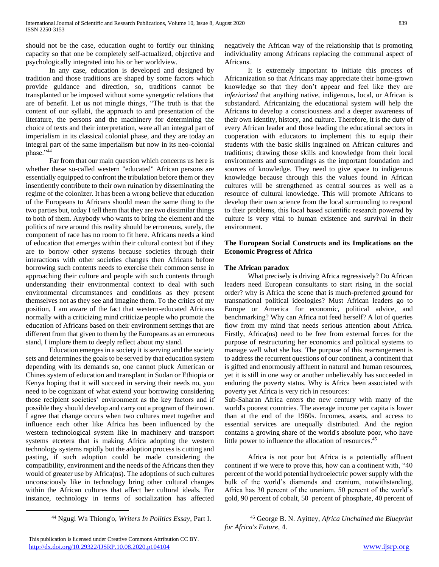should not be the case, education ought to fortify our thinking capacity so that one be completely self-actualized, objective and psychologically integrated into his or her worldview.

 In any case, education is developed and designed by tradition and those traditions are shaped by some factors which provide guidance and direction, so, traditions cannot be transplanted or be imposed without some synergetic relations that are of benefit. Let us not mingle things, "The truth is that the content of our syllabi, the approach to and presentation of the literature, the persons and the machinery for determining the choice of texts and their interpretation, were all an integral part of imperialism in its classical colonial phase, and they are today an integral part of the same imperialism but now in its neo-colonial phase."<sup>44</sup>

 Far from that our main question which concerns us here is whether these so-called western "educated" African persons are essentially equipped to confront the tribulation before them or they insentiently contribute to their own ruination by disseminating the regime of the colonizer. It has been a wrong believe that education of the Europeans to Africans should mean the same thing to the two parties but, today I tell them that they are two dissimilar things to both of them. Anybody who wants to bring the element and the politics of race around this reality should be erroneous, surely, the component of race has no room to fit here. Africans needs a kind of education that emerges within their cultural context but if they are to borrow other systems because societies through their interactions with other societies changes then Africans before borrowing such contents needs to exercise their common sense in approaching their culture and people with such contents through understanding their environmental context to deal with such environmental circumstances and conditions as they present themselves not as they see and imagine them. To the critics of my position, I am aware of the fact that western-educated Africans normally with a criticizing mind criticize people who promote the education of Africans based on their environment settings that are different from that given to them by the Europeans as an erroneous stand, I implore them to deeply reflect about my stand.

 Education emerges in a society it is serving and the society sets and determines the goals to be served by that education system depending with its demands so, one cannot pluck American or Chines system of education and transplant in Sudan or Ethiopia or Kenya hoping that it will succeed in serving their needs no, you need to be cognizant of what extend your borrowing considering those recipient societies' environment as the key factors and if possible they should develop and carry out a program of their own. I agree that change occurs when two cultures meet together and influence each other like Africa has been influenced by the western technological system like in machinery and transport systems etcetera that is making Africa adopting the western technology systems rapidly but the adoption process is cutting and pasting, if such adoption could be made considering the compatibility, environment and the needs of the Africans then they would of greater use by Africa(ns). The adoptions of such cultures unconsciously like in technology bring other cultural changes within the African cultures that affect her cultural ideals. For instance, technology in terms of socialization has affected negatively the African way of the relationship that is promoting individuality among Africans replacing the communal aspect of Africans.

 It is extremely important to initiate this process of Africanization so that Africans may appreciate their home-grown knowledge so that they don't appear and feel like they are *inferiorized* that anything native, indigenous, local, or African is substandard. Africanizing the educational system will help the Africans to develop a consciousness and a deeper awareness of their own identity, history, and culture. Therefore, it is the duty of every African leader and those leading the educational sectors in cooperation with educators to implement this to equip their students with the basic skills ingrained on African cultures and traditions; drawing those skills and knowledge from their local environments and surroundings as the important foundation and sources of knowledge. They need to give space to indigenous knowledge because through this the values found in African cultures will be strengthened as central sources as well as a resource of cultural knowledge. This will promote Africans to develop their own science from the local surrounding to respond to their problems, this local based scientific research powered by culture is very vital to human existence and survival in their environment.

# **The European Social Constructs and its Implications on the Economic Progress of Africa**

# **The African paradox**

 What precisely is driving Africa regressively? Do African leaders need European consultants to start rising in the social order? why is Africa the scene that is much-preferred ground for transnational political ideologies? Must African leaders go to Europe or America for economic, political advice, and benchmarking? Why can Africa not feed herself? A lot of queries flow from my mind that needs serious attention about Africa. Firstly, Africa(ns) need to be free from external forces for the purpose of restructuring her economics and political systems to manage well what she has. The purpose of this rearrangement is to address the recurrent questions of our continent, a continent that is gifted and enormously affluent in natural and human resources, yet it is still in one way or another unbelievably has succeeded in enduring the poverty status. Why is Africa been associated with poverty yet Africa is very rich in resources:

Sub-Saharan Africa enters the new century with many of the world's poorest countries. The average income per capita is lower than at the end of the 1960s. Incomes, assets, and access to essential services are unequally distributed. And the region contains a growing share of the world's absolute poor, who have little power to influence the allocation of resources.<sup>45</sup>

 Africa is not poor but Africa is a potentially affluent continent if we were to prove this, how can a continent with, "40 percent of the world potential hydroelectric power supply with the bulk of the world's diamonds and cranium, notwithstanding, Africa has 30 percent of the uranium, 50 percent of the world's gold, 90 percent of cobalt, 50 percent of phosphate, 40 percent of

<sup>45</sup> George B. N. Ayittey, *Africa Unchained the Blueprint for Africa's Future,* 4.

<sup>44</sup> Ngugi Wa Thiong'o, *Writers In Politics Essay*, Part I.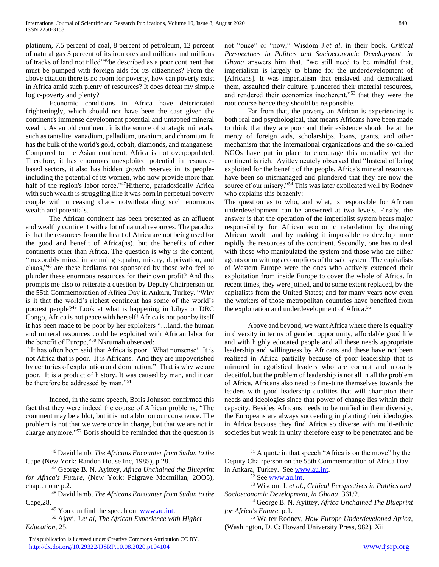platinum, 7.5 percent of coal, 8 percent of petroleum, 12 percent of natural gas 3 percent of its iron ores and millions and millions of tracks of land not tilled"<sup>46</sup>be described as a poor continent that must be pumped with foreign aids for its citizenries? From the above citation there is no room for poverty, how can poverty exist in Africa amid such plenty of resources? It does defeat my simple logic-poverty and plenty?

 Economic conditions in Africa have deteriorated frighteningly, which should not have been the case given the continent's immense development potential and untapped mineral wealth. As an old continent, it is the source of strategic minerals, such as tantalite, vanadium, palladium, uranium, and chromium. It has the bulk of the world's gold, cobalt, diamonds, and manganese. Compared to the Asian continent, Africa is not overpopulated. Therefore, it has enormous unexploited potential in resourcebased sectors, it also has hidden growth reserves in its peopleincluding the potential of its women, who now provide more than half of the region's labor force."<sup>47</sup>Hitherto, paradoxically Africa with such wealth is struggling like it was born in perpetual poverty couple with unceasing chaos notwithstanding such enormous wealth and potentials.

 The African continent has been presented as an affluent and wealthy continent with a lot of natural resources. The paradox is that the resources from the heart of Africa are not being used for the good and benefit of Africa(ns), but the benefits of other continents other than Africa. The question is why is the content, "inexorably mired in steaming squalor, misery, deprivation, and chaos,"<sup>48</sup> are these bedlams not sponsored by those who feel to plunder these enormous resources for their own profit? And this prompts me also to reiterate a question by Deputy Chairperson on the 55th Commemoration of Africa Day in Ankara, Turkey, "Why is it that the world's richest continent has some of the world's poorest people?<sup>49</sup> Look at what is happening in Libya or DRC Congo, Africa is not peace with herself! Africa is not poor by itself it has been made to be poor by her exploiters "…land, the human and mineral resources could be exploited with African labor for the benefit of Europe,"<sup>50</sup> Nkrumah observed:

"It has often been said that Africa is poor. What nonsense! It is not Africa that is poor. It is Africans. And they are impoverished by centuries of exploitation and domination." That is why we are poor. It is a product of history. It was caused by man, and it can be therefore be addressed by man."<sup>51</sup>

 Indeed, in the same speech, Boris Johnson confirmed this fact that they were indeed the course of African problems, "The continent may be a blot, but it is not a blot on our conscience. The problem is not that we were once in charge, but that we are not in charge anymore."<sup>52</sup> Boris should be reminded that the question is not "once" or "now," Wisdom J.*et al*. in their book, *Critical Perspectives in Politics and Socioeconomic Development, in Ghana* answers him that, "we still need to be mindful that, imperialism is largely to blame for the underdevelopment of [Africans]. It was imperialism that enslaved and demoralized them, assaulted their culture, plundered their material resources, and rendered their economies incoherent,"<sup>53</sup> that they were the root course hence they should be responsible.

 Far from that, the poverty an African is experiencing is both real and psychological, that means Africans have been made to think that they are poor and their existence should be at the mercy of foreign aids, scholarships, loans, grants, and other mechanism that the international organizations and the so-called NGOs have put in place to encourage this mentality yet the continent is rich. Ayittey acutely observed that "Instead of being exploited for the benefit of the people, Africa's mineral resources have been so mismanaged and plundered that they are now the source of our misery."<sup>54</sup> This was later explicated well by Rodney who explains this brazenly:

The question as to who, and what, is responsible for African underdevelopment can be answered at two levels. Firstly. the answer is that the operation of the imperialist system bears major responsibility for African economic retardation by draining African wealth and by making it impossible to develop more rapidly the resources of the continent. Secondly, one has to deal with those who manipulated the system and those who are either agents or unwitting accomplices of the said system. The capitalists of Western Europe were the ones who actively extended their exploitation from inside Europe to cover the whole of Africa. In recent times, they were joined, and to some extent replaced, by the capitalists from the United States; and for many years now even the workers of those metropolitan countries have benefited from the exploitation and underdevelopment of Africa.<sup>55</sup>

 Above and beyond, we want Africa where there is equality in diversity in terms of gender, opportunity, affordable good life and with highly educated people and all these needs appropriate leadership and willingness by Africans and these have not been realized in Africa partially because of poor leadership that is mirrored in egotistical leaders who are corrupt and morally deceitful, but the problem of leadership is not all in all the problem of Africa, Africans also need to fine-tune themselves towards the leaders with good leadership qualities that will champion their needs and ideologies since that power of change lies within their capacity. Besides Africans needs to be unified in their diversity, the Europeans are always succeeding in planting their ideologies in Africa because they find Africa so diverse with multi-ethnic societies but weak in unity therefore easy to be penetrated and be

<sup>51</sup> A quote in that speech "Africa is on the move" by the Deputy Chairperson on the 55th Commemoration of Africa Day in Ankara, Turkey. See [www.au.int.](http://www.au.int/)

<sup>52</sup> See [www.au.int.](http://www.au.int/)

<sup>53</sup> Wisdom J*. et al., Critical Perspectives in Politics and Socioeconomic Development, in Ghana*, 361/2*.*

<sup>54</sup> George B. N. Ayittey, *Africa Unchained The Blueprint for Africa's Future,* p.1.

<sup>46</sup> David lamb, *The Africans Encounter from Sudan to the* Cape (New York: Randon House Inc, 1985), p.28.

<sup>47</sup> George B. N. Ayittey, *Africa Unchained the Blueprint for Africa's Future,* (New York: Palgrave Macmillan, 2OO5), chapter one p.2.

<sup>48</sup> David lamb, *The Africans Encounter from Sudan to the* Cape,28.

 $49$  You can find the speech on [www.au.int.](http://www.au.int/)

<sup>50</sup> Ajayi, J.*et al*, *The African Experience with Higher Education*, 25.

This publication is licensed under Creative Commons Attribution CC BY. <http://dx.doi.org/10.29322/IJSRP.10.08.2020.p104104> [www.ijsrp.org](http://ijsrp.org/)

<sup>55</sup> Walter Rodney, *How Europe Underdeveloped Africa*, (Washington, D. C: Howard University Press, 982), Xii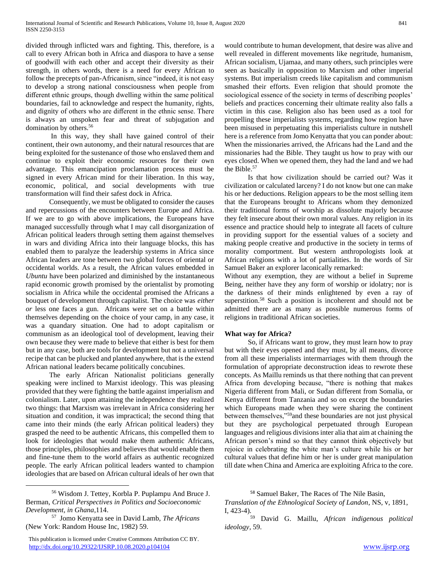divided through inflicted wars and fighting. This, therefore, is a call to every African both in Africa and diaspora to have a sense of goodwill with each other and accept their diversity as their strength, in others words, there is a need for every African to follow the precepts of pan-Africanism, since "indeed, it is not easy to develop a strong national consciousness when people from different ethnic groups, though dwelling within the same political boundaries, fail to acknowledge and respect the humanity, rights, and dignity of others who are different in the ethnic sense. There is always an unspoken fear and threat of subjugation and domination by others.<sup>56</sup>

 In this way, they shall have gained control of their continent, their own autonomy, and their natural resources that are being exploited for the sustenance of those who enslaved them and continue to exploit their economic resources for their own advantage. This emancipation proclamation process must be signed in every African mind for their liberation. In this way, economic, political, and social developments with true transformation will find their safest dock in Africa.

 Consequently, we must be obligated to consider the causes and repercussions of the encounters between Europe and Africa. If we are to go with above implications, the Europeans have managed successfully through what I may call disorganization of African political leaders through setting them against themselves in wars and dividing Africa into their language blocks, this has enabled them to paralyze the leadership systems in Africa since African leaders are tone between two global forces of oriental or occidental worlds. As a result, the African values embedded in *Ubuntu* have been polarized and diminished by the instantaneous rapid economic growth promised by the orientalist by promoting socialism in Africa while the occidental promised the Africans a bouquet of development through capitalist. The choice was *either or* less one faces a gun. Africans were set on a battle within themselves depending on the choice of your camp, in any case, it was a quandary situation. One had to adopt capitalism or communism as an ideological tool of development, leaving their own because they were made to believe that either is best for them but in any case, both are tools for development but not a universal recipe that can be plucked and planted anywhere, that is the extend African national leaders became politically concubines.

 The early African Nationalist politicians generally speaking were inclined to Marxist ideology. This was pleasing provided that they were fighting the battle against imperialism and colonialism. Later, upon attaining the independence they realized two things: that Marxism was irrelevant in Africa considering her situation and condition, it was impractical; the second thing that came into their minds (the early African political leaders) they grasped the need to be authentic Africans, this compelled them to look for ideologies that would make them authentic Africans, those principles, philosophies and believes that would enable them and fine-tune them to the world affairs as authentic recognized people. The early African political leaders wanted to champion ideologies that are based on African cultural ideals of her own that would contribute to human development, that desire was alive and well revealed in different movements like negritude, humanism, African socialism, Ujamaa, and many others, such principles were seen as basically in opposition to Marxism and other imperial systems. But imperialism creeds like capitalism and communism smashed their efforts. Even religion that should promote the sociological essence of the society in terms of describing peoples' beliefs and practices concerning their ultimate reality also falls a victim in this case. Religion also has been used as a tool for propelling these imperialists systems, regarding how region have been misused in perpetuating this imperialists culture in nutshell here is a reference from Jomo Kenyatta that you can ponder about: When the missionaries arrived, the Africans had the Land and the missionaries had the Bible. They taught us how to pray with our eyes closed. When we opened them, they had the land and we had the Bible.<sup>57</sup>

 Is that how civilization should be carried out? Was it civilization or calculated larceny? I do not know but one can make his or her deductions. Religion appears to be the most selling item that the Europeans brought to Africans whom they demonized their traditional forms of worship as dissolute majorly because they felt insecure about their own moral values. Any religion in its essence and practice should help to integrate all facets of culture in providing support for the essential values of a society and making people creative and productive in the society in terms of morality comportment. But western anthropologists look at African religions with a lot of partialities. In the words of Sir Samuel Baker an explorer laconically remarked:

Without any exemption, they are without a belief in Supreme Being, neither have they any form of worship or idolatry; nor is the darkness of their minds enlightened by even a ray of superstition.<sup>58</sup> Such a position is incoherent and should not be admitted there are as many as possible numerous forms of religions in traditional African societies.

#### **What way for Africa?**

 So, if Africans want to grow, they must learn how to pray but with their eyes opened and they must, by all means, divorce from all these imperialists intermarriages with them through the formulation of appropriate deconstruction ideas to rewrote these concepts. As Maillu reminds us that there nothing that can prevent Africa from developing because, "there is nothing that makes Nigeria different from Mali, or Sudan different from Somalia, or Kenya different from Tanzania and so on except the boundaries which Europeans made when they were sharing the continent between themselves,"<sup>59</sup>and these boundaries are not just physical but they are psychological perpetuated through European languages and religious divisions inter alia that aim at chaining the African person's mind so that they cannot think objectively but rejoice in celebrating the white man's culture while his or her cultural values that define him or her is under great manipulation till date when China and America are exploiting Africa to the core.

<sup>58</sup> Samuel Baker, The Races of The Nile Basin,

*Translation of the Ethnological Society of Landon*, NS, v, 1891,  $\frac{1}{1}$ , 423-4).

<sup>59</sup> David G. Maillu, *African indigenous political ideology*, 59.

<sup>56</sup> Wisdom J. Tettey, Korbla P. Puplampu And Bruce J. Berman, *Critical Perspectives in Politics and Socioeconomic Development, in Ghana*,114.

<sup>57</sup> Jomo Kenyatta see in David Lamb, *The Africans* (New York: Random House Inc, 1982) 59.

This publication is licensed under Creative Commons Attribution CC BY. <http://dx.doi.org/10.29322/IJSRP.10.08.2020.p104104> [www.ijsrp.org](http://ijsrp.org/)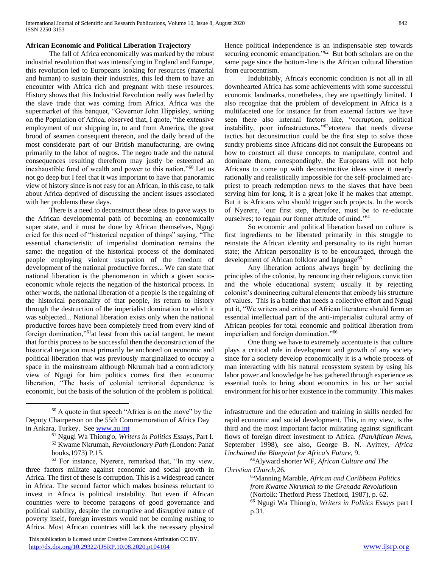#### **African Economic and Political Liberation Trajectory**

 The fall of Africa economically was marked by the robust industrial revolution that was intensifying in England and Europe, this revolution led to Europeans looking for resources (material and human) to sustain their industries, this led them to have an encounter with Africa rich and pregnant with these resources. History shows that this Industrial Revolution really was fueled by the slave trade that was coming from Africa. Africa was the supermarket of this banquet, "Governor John Hippisley, writing on the Population of Africa, observed that, I quote, "the extensive employment of our shipping in, to and from America, the great brood of seamen consequent thereon, and the daily bread of the most considerate part of our British manufacturing, are owing primarily to the labor of negros. The negro trade and the natural consequences resulting therefrom may justly be esteemed an inexhaustible fund of wealth and power to this nation."<sup>60</sup> Let us not go deep but I feel that it was important to have that panoramic view of history since is not easy for an African, in this case, to talk about Africa deprived of discussing the ancient issues associated with her problems these days.

 There is a need to deconstruct these ideas to pave ways to the African developmental path of becoming an economically super state, and it must be done by African themselves, Ngugi cried for this need of "historical negation of things" saying, "The essential characteristic of imperialist domination remains the same: the negation of the historical process of the dominated people employing violent usurpation of the freedom of development of the national productive forces... We can state that national liberation is the phenomenon in which a given socioeconomic whole rejects the negation of the historical process. In other words, the national liberation of a people is the regaining of the historical personality of that people, its return to history through the destruction of the imperialist domination to which it was subjected... National liberation exists only when the national productive forces have been completely freed from every kind of foreign domination,"<sup>61</sup>at least from this racial tangent, he meant that for this process to be successful then the deconstruction of the historical negation must primarily be anchored on economic and political liberation that was previously marginalized to occupy a space in the mainstream although Nkrumah had a contradictory view of Ngugi for him politics comes first then economic liberation, "The basis of colonial territorial dependence is economic, but the basis of the solution of the problem is political.

<sup>63</sup> For instance, Nyerere, remarked that, "In my view, three factors militate against economic and social growth in Africa. The first of these is corruption. This is a widespread cancer in Africa. The second factor which makes business reluctant to invest in Africa is political instability. But even if African countries were to become paragons of good governance and political stability, despite the corruptive and disruptive nature of poverty itself, foreign investors would not be coming rushing to Africa. Most African countries still lack the necessary physical

 This publication is licensed under Creative Commons Attribution CC BY. <http://dx.doi.org/10.29322/IJSRP.10.08.2020.p104104> [www.ijsrp.org](http://ijsrp.org/)

Hence political independence is an indispensable step towards securing economic emancipation."<sup>62</sup> But both scholars are on the same page since the bottom-line is the African cultural liberation from eurocentrism.

 Indubitably, Africa's economic condition is not all in all downhearted Africa has some achievements with some successful economic landmarks, nonetheless, they are upsettingly limited. I also recognize that the problem of development in Africa is a multifaceted one for instance far from external factors we have seen there also internal factors like, "corruption, political instability, poor infrastructures,"<sup>63</sup>etcetera that needs diverse tactics but deconstruction could be the first step to solve those sundry problems since Africans did not consult the Europeans on how to construct all these concepts to manipulate, control and dominate them, correspondingly, the Europeans will not help Africans to come up with deconstructive ideas since it nearly rationally and realistically impossible for the self-proclaimed arcpriest to preach redemption news to the slaves that have been serving him for long, it is a great joke if he makes that attempt. But it is Africans who should trigger such projects. In the words of Nyerere, 'our first step, therefore, must be to re-educate ourselves; to regain our former attitude of mind.'<sup>64</sup>

 So economic and political liberation based on culture is first ingredients to be liberated primarily in this struggle to reinstate the African identity and personality to its right human state; the African personality is to be encouraged, through the development of African folklore and language<sup>65</sup>

 Any liberation actions always begin by declining the principles of the colonist, by renouncing their religious conviction and the whole educational system; usually it by rejecting colonist's domineering cultural elements that embody his structure of values. This is a battle that needs a collective effort and Ngugi put it, "We writers and critics of African literature should form an essential intellectual part of the anti-imperialist cultural army of African peoples for total economic and political liberation from imperialism and foreign domination."<sup>66</sup>

 One thing we have to extremely accentuate is that culture plays a critical role in development and growth of any society since for a society develop economically it is a whole process of man interacting with his natural ecosystem system by using his labor power and knowledge he has gathered through experience as essential tools to bring about economics in his or her social environment for his or her existence in the community. This makes

infrastructure and the education and training in skills needed for rapid economic and social development. This, in my view, is the third and the most important factor militating against significant flows of foreign direct investment to Africa. *(PanAftican News,*  September 1998), see also, George B. N. Ayittey, *Africa Unchained the Blueprint for Africa's Future,* 9.

<sup>64</sup>Alyward shorter WF, *African Culture and The Christian Church,*26*.*

> <sup>65</sup>Manning Marable, *African and Caribbean Politics from Kwame Nkrumah to the Grenada Revolution*n (Norfolk: Thetford Press Thetford, 1987), p. 62. <sup>66</sup> Ngugi Wa Thiong'o, *Writers in Politics Essays* part I p.31.

 $60$  A quote in that speech "Africa is on the move" by the Deputy Chairperson on the 55th Commemoration of Africa Day in Ankara, Turkey. See [www.au.int](http://www.au.int/)

<sup>61</sup> Ngugi Wa Thiong'o, *Writers in Politics Essays*, Part I. <sup>62</sup> Kwame Nkrumah, *Revolutionary Path (*London: Panaf books,1973) P.15.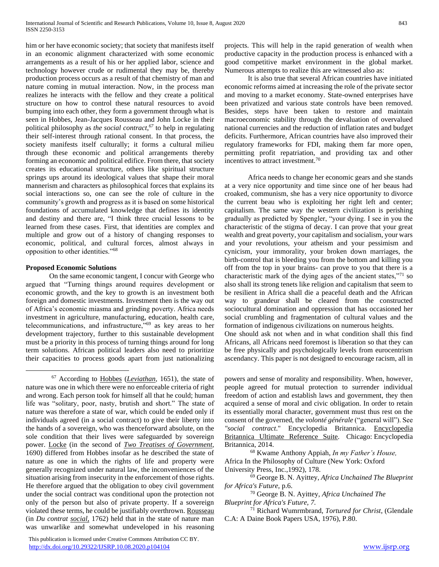him or her have economic society; that society that manifests itself in an economic alignment characterized with some economic arrangements as a result of his or her applied labor, science and technology however crude or rudimental they may be, thereby production process occurs as a result of that chemistry of man and nature coming in mutual interaction. Now, in the process man realizes he interacts with the fellow and they create a political structure on how to control these natural resources to avoid bumping into each other, they form a government through what is seen in Hobbes, Jean-Jacques Rousseau and John Locke in their political philosophy as *the social contract*, *<sup>67</sup>* to help in regulating their self-interest through rational consent. In that process, the society manifests itself culturally; it forms a cultural milieu through these economic and political arrangements thereby forming an economic and political edifice. From there, that society creates its educational structure, others like spiritual structure springs ups around its ideological values that shape their moral mannerism and characters as philosophical forces that explains its social interactions so, one can see the role of culture in the community's growth and progress as it is based on some historical foundations of accumulated knowledge that defines its identity and destiny and there are, "I think three crucial lessons to be learned from these cases. First, that identities are complex and multiple and grow out of a history of changing responses to economic, political, and cultural forces, almost always in opposition to other identities."<sup>68</sup>

#### **Proposed Economic Solutions**

 On the same economic tangent, I concur with George who argued that "Turning things around requires development or economic growth, and the key to growth is an investment both foreign and domestic investments. Investment then is the way out of Africa's economic miasma and grinding poverty. Africa needs investment in agriculture, manufacturing, education, health care, telecommunications, and infrastructure,"<sup>69</sup> as key areas to her development trajectory, further to this sustainable development must be a priority in this process of turning things around for long term solutions. African political leaders also need to prioritize their capacities to process goods apart from just nationalizing projects. This will help in the rapid generation of wealth when productive capacity in the production process is enhanced with a good competitive market environment in the global market. Numerous attempts to realize this are witnessed also as:

 It is also true that several African countries have initiated economic reforms aimed at increasing the role of the private sector and moving to a market economy. State-owned enterprises have been privatized and various state controls have been removed. Besides, steps have been taken to restore and maintain macroeconomic stability through the devaluation of overvalued national currencies and the reduction of inflation rates and budget deficits. Furthermore, African countries have also improved their regulatory frameworks for FDI, making them far more open, permitting profit repatriation, and providing tax and other incentives to attract investment.<sup>70</sup>

 Africa needs to change her economic gears and she stands at a very nice opportunity and time since one of her beaus had croaked, communism, she has a very nice opportunity to divorce the current beau who is exploiting her right left and center; capitalism. The same way the western civilization is perishing gradually as predicted by Spengler, "your dying. I see in you the characteristic of the stigma of decay. I can prove that your great wealth and great poverty, your capitalism and socialism, your wars and your revolutions, your atheism and your pessimism and cynicism, your immorality, your broken down marriages, the birth-control that is bleeding you from the bottom and killing you off from the top in your brains- can prove to you that there is a characteristic mark of the dying ages of the ancient states,"<sup>71</sup> so also shall its strong tenets like religion and capitalism that seem to be resilient in Africa shall die a peaceful death and the African way to grandeur shall be cleared from the constructed sociocultural domination and oppression that has occasioned her social crumbling and fragmentation of cultural values and the formation of indigenous civilizations on numerous heights.

One should ask not when and in what condition shall this find Africans, all Africans need foremost is liberation so that they can be free physically and psychologically levels from eurocentrism ascendancy. This paper is not designed to encourage racism, all in

powers and sense of morality and responsibility. When, however, people agreed for mutual protection to surrender individual freedom of action and establish laws and government, they then acquired a sense of moral and civic obligation. In order to retain its essentially moral character, government must thus rest on the consent of the governed, the *volonté générale* ("general will"). See *"social contract*." Encyclopedia Britannica. Encyclopedia Britannica Ultimate Reference Suite. Chicago: Encyclopedia Britannica, 2014.

<sup>68</sup> Kwame Anthony Appiah, *In my Father's House,* Africa In the Philosophy of Culture (New York: Oxford University Press, Inc.,1992), 178.

<sup>67</sup> According to [Hobbes](ebcid:com.britannica.oec2.identifier.ArticleIdentifier?articleId=40659&library=EB&query=null&title=Hobbes#9040659.toc) (*[Leviathan,](ebcid:com.britannica.oec2.identifier.IndexEntryContentIdentifier?idxStructId=337942&library=EB)* 1651), the state of nature was one in which there were no enforceable criteria of right and wrong. Each person took for himself all that he could; human life was "solitary, poor, nasty, brutish and short." The state of nature was therefore a state of war, which could be ended only if individuals agreed (in a social contract) to give their liberty into the hands of a sovereign, who was thenceforward absolute, on the sole condition that their lives were safeguarded by sovereign power. [Locke](ebcid:com.britannica.oec2.identifier.ArticleIdentifier?articleId=108465&library=EB&query=null&title=Locke#9108465.toc) (in the second of *[Two Treatises of Government,](ebcid:com.britannica.oec2.identifier.IndexEntryContentIdentifier?idxStructId=611370&library=EB)* 1690) differed from Hobbes insofar as he described the state of nature as one in which the rights of life and property were generally recognized under natural law, the inconveniences of the situation arising from insecurity in the enforcement of those rights. He therefore argued that the obligation to obey civil government under the social contract was conditional upon the protection not only of the person but also of private property. If a sovereign violated these terms, he could be justifiably overthrown[. Rousseau](ebcid:com.britannica.oec2.identifier.ArticleIdentifier?articleId=109503&library=EB&query=null&title=Rousseau#9109503.toc) (in *Du contrat [social,](ebcid:com.britannica.oec2.identifier.IndexEntryContentIdentifier?idxStructId=551013&library=EB)* 1762) held that in the state of nature man was unwarlike and somewhat undeveloped in his reasoning

<sup>69</sup> George B. N. Ayittey, *Africa Unchained The Blueprint for Africa's Future,* p.6.

<sup>70</sup> George B. N. Ayittey, *Africa Unchained The Blueprint for Africa's Future, 7.*

<sup>71</sup> Richard Wumrmbrand, *Tortured for Christ*, (Glendale C.A: A Daine Book Papers USA, 1976), P.80.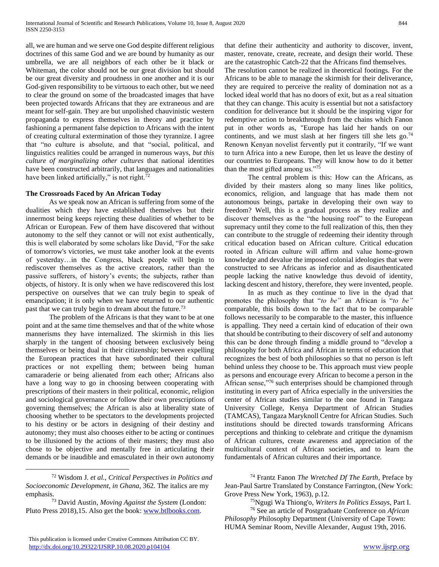all, we are human and we serve one God despite different religious doctrines of this same God and we are bound by humanity as our umbrella, we are all neighbors of each other be it black or Whiteman, the color should not be our great division but should be our great diversity and proudness in one another and it is our God-given responsibility to be virtuous to each other, but we need to clear the ground on some of the broadcasted images that have been projected towards Africans that they are extraneous and are meant for self-gain. They are but unpolished chauvinistic western propaganda to express themselves in theory and practice by fashioning a permanent false depiction to Africans with the intent of creating cultural extermination of those they tyrannize. I agree that "no culture is absolute, and that "social, political, and linguistics realities could be arranged in numerous ways, *but this culture of marginalizing other cultures* that national identities have been constructed arbitrarily, that languages and nationalities have been linked artificially," is not right.<sup>72</sup>

## **The Crossroads Faced by An African Today**

 As we speak now an African is suffering from some of the dualities which they have established themselves but their innermost being keeps rejecting these dualities of whether to be African or European. Few of them have discovered that without autonomy to the self they cannot or will not exist authentically, this is well elaborated by some scholars like David, "For the sake of tomorrow's victories, we must take another look at the events of yesterday…in the Congress, black people will begin to rediscover themselves as the active creators, rather than the passive sufferers, of history's events; the subjects, rather than objects, of history. It is only when we have rediscovered this lost perspective on ourselves that we can truly begin to speak of emancipation; it is only when we have returned to our authentic past that we can truly begin to dream about the future.<sup>73</sup>

 The problem of the Africans is that they want to be at one point and at the same time themselves and that of the white whose mannerisms they have internalized. The skirmish in this lies sharply in the tangent of choosing between exclusively being themselves or being dual in their citizenship; between expelling the European practices that have subordinated their cultural practices or not expelling them; between being human camaraderie or being alienated from each other; Africans also have a long way to go in choosing between cooperating with prescriptions of their masters in their political, economic, religion and sociological governance or follow their own prescriptions of governing themselves; the African is also at liberality state of choosing whether to be spectators to the developments projected to his destiny or be actors in designing of their destiny and autonomy; they must also chooses either to be acting or continues to be illusioned by the actions of their masters; they must also chose to be objective and mentally free in articulating their demands or be inaudible and emasculated in their own autonomy that define their authenticity and authority to discover, invent, master, renovate, create, recreate, and design their world. These are the catastrophic Catch-22 that the Africans find themselves. The resolution cannot be realized in theoretical footings. For the Africans to be able to manage the skirmish for their deliverance, they are required to perceive the reality of domination not as a locked ideal world that has no doors of exit, but as a real situation that they can change. This acuity is essential but not a satisfactory condition for deliverance but it should be the inspiring vigor for redemptive action to breakthrough from the chains which Fanon put in other words as, "Europe has laid her hands on our continents, and we must slash at her fingers till she lets go.<sup>74</sup> Renown Kenyan novelist fervently put it contrarily, "If we want to turn Africa into a new Europe, then let us leave the destiny of our countries to Europeans. They will know how to do it better than the most gifted among us."75

 The central problem is this: How can the Africans, as divided by their masters along so many lines like politics, economics, religion, and language that has made them not autonomous beings, partake in developing their own way to freedom? Well, this is a gradual process as they realize and discover themselves as the "the housing roof" to the European supremacy until they come to the full realization of this, then they can contribute to the struggle of redeeming their identity through critical education based on African culture. Critical education rooted in African culture will affirm and value home-grown knowledge and devalue the imposed colonial ideologies that were constructed to see Africans as inferior and as disauthenticated people lacking the native knowledge thus devoid of identity, lacking descent and history, therefore, they were invented, people.

 In as much as they continue to live in the dyad that promotes the philosophy that "*to be"* an African is "*to be"* comparable, this boils down to the fact that to be comparable follows necessarily to be comparable to the master, this influence is appalling. They need a certain kind of education of their own that should be contributing to their discovery of self and autonomy this can be done through finding a middle ground to "develop a philosophy for both Africa and African in terms of education that recognizes the best of both philosophies so that no person is left behind unless they choose to be. This approach must view people as persons and encourage every African to become a person in the African sense,"<sup>76</sup> such enterprises should be championed through instituting in every part of Africa especially in the universities the center of African studies similar to the one found in Tangaza University College, Kenya Department of African Studies (TAMCAS), Tangaza Maryknoll Centre for African Studies. Such institutions should be directed towards transforming Africans perceptions and thinking to celebrate and critique the dynamism of African cultures, create awareness and appreciation of the multicultural context of African societies, and to learn the fundamentals of African cultures and their importance.

<sup>74</sup> Frantz Fanon *The Wretched Df The Earth*, Preface by Jean-Paul Sartre Translated by Constance Farrington, (New York: Grove Press New York, 1963), p.12.

<sup>75</sup>Ngugi Wa Thiong'o, *Writers In Politics Essays*, Part I. <sup>76</sup> See an article of Postgraduate Conference on *African Philosophy* Philosophy Department (University of Cape Town: HUMA Seminar Room, Neville Alexander, August 19th, 2016.

<sup>72</sup> Wisdom J*. et al., Critical Perspectives in Politics and Socioeconomic Development, in Ghana*, 362. The italics are my emphasis.

<sup>73</sup> [David Austin,](action:7b226e616d65223a202244617669642041757374696e222c20227469746c65223a202253656172636820476f6f64726561647320666f722074686520617574686f723a2044617669642041757374696e222c202274797065223a2022617574686f72222c202275726c223a202268747470733a2f2f7777772e676f6f6472656164732e636f6d2f626f6f6b2f617574686f722f44617669642b41757374696e227d) *Moving Against the System* (London: Pluto Press 2018),15. Also get the book: [www.btlbooks.com.](http://www.btlbooks.com/)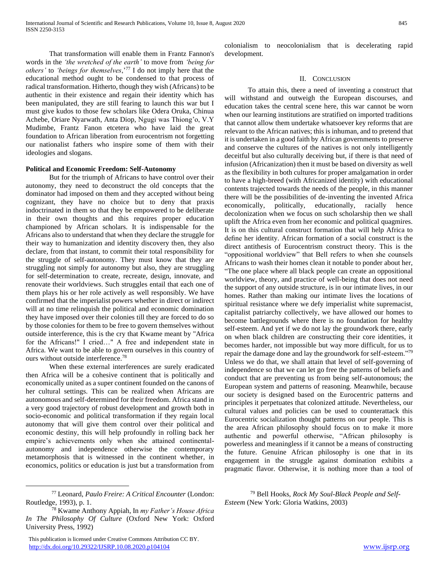That transformation will enable them in Frantz Fannon's words in the *'the wretched of the earth'* to move from *'being for others'* to *'beings for themselves*,'<sup>77</sup> I do not imply here that the educational method ought to be condensed to that process of radical transformation. Hitherto, though they wish (Africans) to be authentic in their existence and regain their identity which has been manipulated, they are still fearing to launch this war but I must give kudos to those few scholars like Odera Oruka, Chinua Achebe, Oriare Nyarwath, Anta Diop, Ngugi was Thiong'o, V.Y Mudimbe, Frantz Fanon etcetera who have laid the great foundation to African liberation from eurocentrism not forgetting our nationalist fathers who inspire some of them with their ideologies and slogans.

#### **Political and Economic Freedom: Self-Autonomy**

 But for the triumph of Africans to have control over their autonomy, they need to deconstruct the old concepts that the dominator had imposed on them and they accepted without being cognizant, they have no choice but to deny that praxis indoctrinated in them so that they be empowered to be deliberate in their own thoughts and this requires proper education championed by African scholars. It is indispensable for the Africans also to understand that when they declare the struggle for their way to humanization and identity discovery then, they also declare, from that instant, to commit their total responsibility for the struggle of self-autonomy. They must know that they are struggling not simply for autonomy but also, they are struggling for self-determination to create, recreate, design, innovate, and renovate their worldviews. Such struggles entail that each one of them plays his or her role actively as well responsibly. We have confirmed that the imperialist powers whether in direct or indirect will at no time relinquish the political and economic domination they have imposed over their colonies till they are forced to do so by those colonies for them to be free to govern themselves without outside interference, this is the cry that Kwame meant by "Africa for the Africans!" I cried…" A free and independent state in Africa. We want to be able to govern ourselves in this country of ours without outside interference.<sup>78</sup>

 When these external interferences are surely eradicated then Africa will be a cohesive continent that is politically and economically united as a super continent founded on the canons of her cultural settings. This can be realized when Africans are autonomous and self-determined for their freedom. Africa stand in a very good trajectory of robust development and growth both in socio-economic and political transformation if they regain local autonomy that will give them control over their political and economic destiny, this will help profoundly in rolling back her empire's achievements only when she attained continentalautonomy and independence otherwise the contemporary metamorphosis that is witnessed in the continent whether, in economics, politics or education is just but a transformation from

<sup>77</sup> Leonard, *Paulo Freire: A Critical Encounter* (London: Routledge, 1993), p. 1.

colonialism to neocolonialism that is decelerating rapid development.

#### II. CONCLUSION

 To attain this, there a need of inventing a construct that will withstand and outweigh the European discourses, and education takes the central scene here, this war cannot be worn when our learning institutions are stratified on imported traditions that cannot allow them undertake whatsoever key reforms that are relevant to the African natives; this is inhuman, and to pretend that it is undertaken in a good faith by African governments to preserve and conserve the cultures of the natives is not only intelligently deceitful but also culturally deceiving but, if there is that need of infusion (Africanization) then it must be based on diversity as well as the flexibility in both cultures for proper amalgamation in order to have a high-breed (with Africanized identity) with educational contents trajected towards the needs of the people, in this manner there will be the possibilities of de-inventing the invented Africa economically, politically, educationally, racially hence decolonization when we focus on such scholarship then we shall uplift the Africa even from her economic and political quagmires. It is on this cultural construct formation that will help Africa to define her identity. African formation of a social construct is the direct antithesis of Eurocentrism construct theory. This is the "oppositional worldview" that Bell refers to when she counsels Africans to wash their homes clean it notable to ponder about her, "The one place where all black people can create an oppositional worldview, theory, and practice of well-being that does not need the support of any outside structure, is in our intimate lives, in our homes. Rather than making our intimate lives the locations of spiritual resistance where we defy imperialist white supremacist, capitalist patriarchy collectively, we have allowed our homes to become battlegrounds where there is no foundation for healthy self-esteem. And yet if we do not lay the groundwork there, early on when black children are constructing their core identities, it becomes harder, not impossible but way more difficult, for us to repair the damage done and lay the groundwork for self-esteem."<sup>79</sup> Unless we do that, we shall attain that level of self-governing of independence so that we can let go free the patterns of beliefs and conduct that are preventing us from being self-autonomous; the European system and patterns of reasoning. Meanwhile, because our society is designed based on the Eurocentric patterns and principles it perpetuates that colonized attitude. Nevertheless, our cultural values and policies can be used to counterattack this Eurocentric socialization thought patterns on our people. This is the area African philosophy should focus on to make it more authentic and powerful otherwise, "African philosophy is powerless and meaningless if it cannot be a means of constructing the future. Genuine African philosophy is one that in its engagement in the struggle against domination exhibits a pragmatic flavor. Otherwise, it is nothing more than a tool of

<sup>79</sup> Bell Hooks, *Rock My Soul*-*Black People and Self-Esteem* (New York: Gloria Watkins, 2003)

<sup>78</sup> Kwame Anthony Appiah, In *my Father's House Africa In The Philosophy Of Culture* (Oxford New York: Oxford University Press, 1992)

This publication is licensed under Creative Commons Attribution CC BY. <http://dx.doi.org/10.29322/IJSRP.10.08.2020.p104104> [www.ijsrp.org](http://ijsrp.org/)